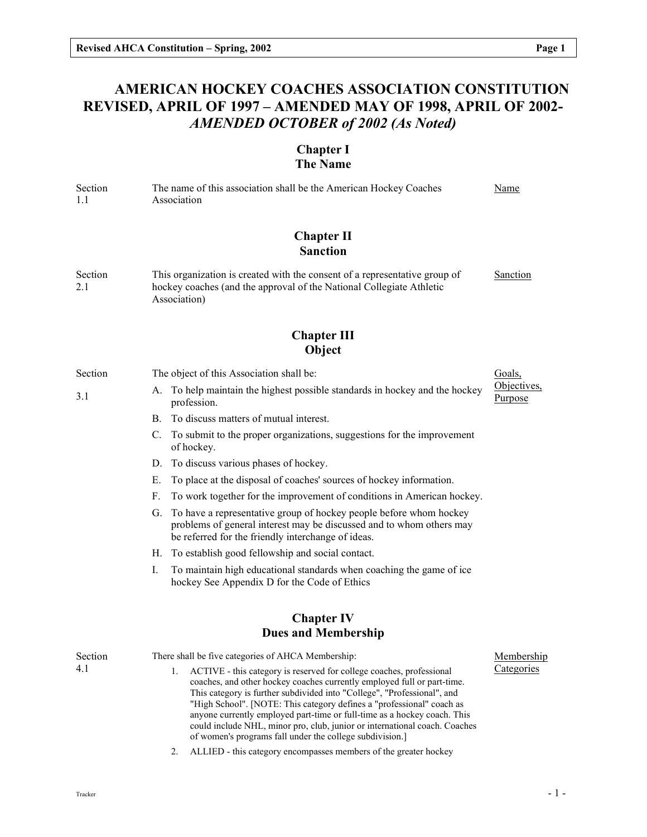# AMERICAN HOCKEY COACHES ASSOCIATION CONSTITUTION REVISED, APRIL OF 1997 – AMENDED MAY OF 1998, APRIL OF 2002- AMENDED OCTOBER of 2002 (As Noted)

## Chapter I The Name

Section 1.1 The name of this association shall be the American Hockey Coaches Association Name

# Chapter II Sanction

Section 2.1 This organization is created with the consent of a representative group of hockey coaches (and the approval of the National Collegiate Athletic Association) Sanction

# Chapter III Object

#### Section 3.1 The object of this Association shall be: A. To help maintain the highest possible standards in hockey and the hockey profession. B. To discuss matters of mutual interest. C. To submit to the proper organizations, suggestions for the improvement of hockey.

- D. To discuss various phases of hockey.
- E. To place at the disposal of coaches' sources of hockey information.
- F. To work together for the improvement of conditions in American hockey.
- G. To have a representative group of hockey people before whom hockey problems of general interest may be discussed and to whom others may be referred for the friendly interchange of ideas.
- H. To establish good fellowship and social contact.
- I. To maintain high educational standards when coaching the game of ice hockey See Appendix D for the Code of Ethics

## Chapter IV Dues and Membership

| Section | There shall be five categories of AHCA Membership:                                                                                                                                                                                                                                                                                                                                                                                                               | Membership |
|---------|------------------------------------------------------------------------------------------------------------------------------------------------------------------------------------------------------------------------------------------------------------------------------------------------------------------------------------------------------------------------------------------------------------------------------------------------------------------|------------|
| 4.1     | 1. ACTIVE - this category is reserved for college coaches, professional<br>coaches, and other hockey coaches currently employed full or part-time.<br>This category is further subdivided into "College", "Professional", and<br>"High School". [NOTE: This category defines a "professional" coach as<br>anyone currently employed part-time or full-time as a hockey coach. This<br>could include NHL, minor pro, club, junior or international coach. Coaches | Categories |
|         | of women's programs fall under the college subdivision.                                                                                                                                                                                                                                                                                                                                                                                                          |            |

2. ALLIED - this category encompasses members of the greater hockey

Goals, Objectives, Purpose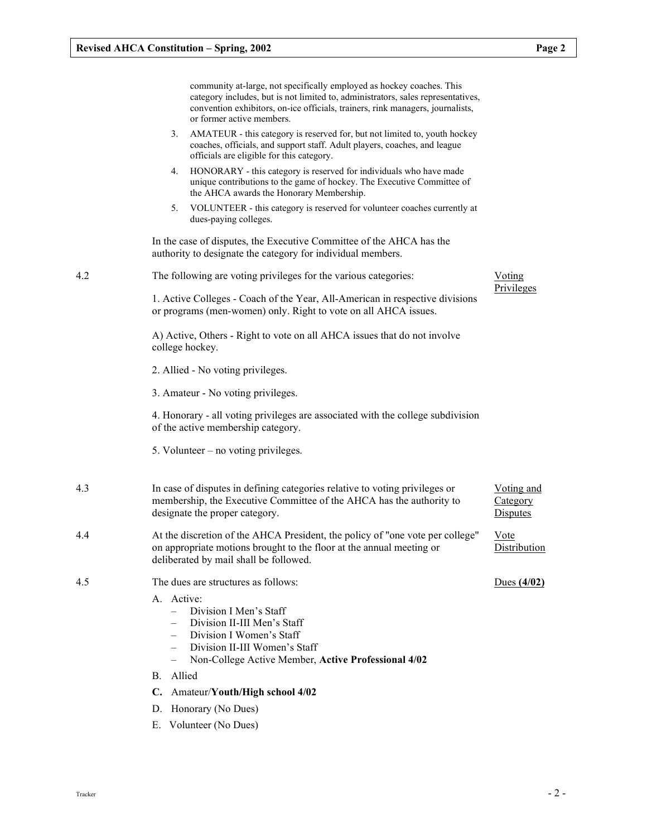|     | community at-large, not specifically employed as hockey coaches. This<br>category includes, but is not limited to, administrators, sales representatives,<br>convention exhibitors, on-ice officials, trainers, rink managers, journalists,<br>or former active members. |                                    |
|-----|--------------------------------------------------------------------------------------------------------------------------------------------------------------------------------------------------------------------------------------------------------------------------|------------------------------------|
|     | AMATEUR - this category is reserved for, but not limited to, youth hockey<br>3.<br>coaches, officials, and support staff. Adult players, coaches, and league<br>officials are eligible for this category.                                                                |                                    |
|     | HONORARY - this category is reserved for individuals who have made<br>4.<br>unique contributions to the game of hockey. The Executive Committee of<br>the AHCA awards the Honorary Membership.                                                                           |                                    |
|     | VOLUNTEER - this category is reserved for volunteer coaches currently at<br>5.<br>dues-paying colleges.                                                                                                                                                                  |                                    |
|     | In the case of disputes, the Executive Committee of the AHCA has the<br>authority to designate the category for individual members.                                                                                                                                      |                                    |
| 4.2 | The following are voting privileges for the various categories:                                                                                                                                                                                                          | Voting                             |
|     | 1. Active Colleges - Coach of the Year, All-American in respective divisions<br>or programs (men-women) only. Right to vote on all AHCA issues.                                                                                                                          | Privileges                         |
|     | A) Active, Others - Right to vote on all AHCA issues that do not involve<br>college hockey.                                                                                                                                                                              |                                    |
|     | 2. Allied - No voting privileges.                                                                                                                                                                                                                                        |                                    |
|     | 3. Amateur - No voting privileges.                                                                                                                                                                                                                                       |                                    |
|     | 4. Honorary - all voting privileges are associated with the college subdivision<br>of the active membership category.                                                                                                                                                    |                                    |
|     | 5. Volunteer $-$ no voting privileges.                                                                                                                                                                                                                                   |                                    |
| 4.3 | In case of disputes in defining categories relative to voting privileges or<br>membership, the Executive Committee of the AHCA has the authority to<br>designate the proper category.                                                                                    | Voting and<br>Category<br>Disputes |
| 4.4 | At the discretion of the AHCA President, the policy of "one vote per college"<br>on appropriate motions brought to the floor at the annual meeting or<br>deliberated by mail shall be followed.                                                                          | Vote<br>Distribution               |
| 4.5 | The dues are structures as follows:                                                                                                                                                                                                                                      | Dues $(4/02)$                      |
|     | A. Active:<br>Division I Men's Staff<br>$-$<br>Division II-III Men's Staff<br>Division I Women's Staff<br>Division II-III Women's Staff<br>$\qquad \qquad -$<br>Non-College Active Member, Active Professional 4/02<br>$\overline{\phantom{0}}$                          |                                    |
|     | Allied<br>В.                                                                                                                                                                                                                                                             |                                    |
|     | Amateur/Youth/High school 4/02<br>$\mathbf{C}$ .                                                                                                                                                                                                                         |                                    |
|     | D. Honorary (No Dues)                                                                                                                                                                                                                                                    |                                    |

E. Volunteer (No Dues)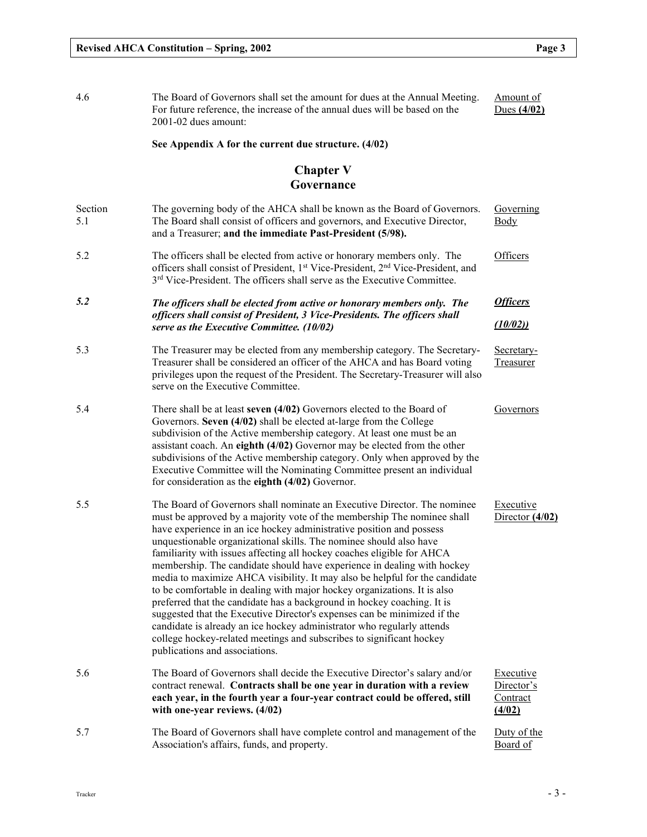| 4.6            | The Board of Governors shall set the amount for dues at the Annual Meeting.<br>For future reference, the increase of the annual dues will be based on the<br>2001-02 dues amount:                                                                                                                                                                                                                                                                                                                                                                                                                                                                                                                                                                                                                                                                                                                                                                            | Amount of<br>Dues $(4/02)$                           |
|----------------|--------------------------------------------------------------------------------------------------------------------------------------------------------------------------------------------------------------------------------------------------------------------------------------------------------------------------------------------------------------------------------------------------------------------------------------------------------------------------------------------------------------------------------------------------------------------------------------------------------------------------------------------------------------------------------------------------------------------------------------------------------------------------------------------------------------------------------------------------------------------------------------------------------------------------------------------------------------|------------------------------------------------------|
|                | See Appendix A for the current due structure. (4/02)                                                                                                                                                                                                                                                                                                                                                                                                                                                                                                                                                                                                                                                                                                                                                                                                                                                                                                         |                                                      |
|                | <b>Chapter V</b><br>Governance                                                                                                                                                                                                                                                                                                                                                                                                                                                                                                                                                                                                                                                                                                                                                                                                                                                                                                                               |                                                      |
| Section<br>5.1 | The governing body of the AHCA shall be known as the Board of Governors.<br>The Board shall consist of officers and governors, and Executive Director,<br>and a Treasurer; and the immediate Past-President (5/98).                                                                                                                                                                                                                                                                                                                                                                                                                                                                                                                                                                                                                                                                                                                                          | Governing<br>Body                                    |
| 5.2            | The officers shall be elected from active or honorary members only. The<br>officers shall consist of President, 1 <sup>st</sup> Vice-President, 2 <sup>nd</sup> Vice-President, and<br>3 <sup>rd</sup> Vice-President. The officers shall serve as the Executive Committee.                                                                                                                                                                                                                                                                                                                                                                                                                                                                                                                                                                                                                                                                                  | Officers                                             |
| 5.2            | The officers shall be elected from active or honorary members only. The                                                                                                                                                                                                                                                                                                                                                                                                                                                                                                                                                                                                                                                                                                                                                                                                                                                                                      | <b>Officers</b>                                      |
|                | officers shall consist of President, 3 Vice-Presidents. The officers shall<br>serve as the Executive Committee. (10/02)                                                                                                                                                                                                                                                                                                                                                                                                                                                                                                                                                                                                                                                                                                                                                                                                                                      | (10/02)                                              |
| 5.3            | The Treasurer may be elected from any membership category. The Secretary-<br>Treasurer shall be considered an officer of the AHCA and has Board voting<br>privileges upon the request of the President. The Secretary-Treasurer will also<br>serve on the Executive Committee.                                                                                                                                                                                                                                                                                                                                                                                                                                                                                                                                                                                                                                                                               | Secretary-<br>Treasurer                              |
| 5.4            | There shall be at least seven (4/02) Governors elected to the Board of<br>Governors. Seven (4/02) shall be elected at-large from the College<br>subdivision of the Active membership category. At least one must be an<br>assistant coach. An eighth (4/02) Governor may be elected from the other<br>subdivisions of the Active membership category. Only when approved by the<br>Executive Committee will the Nominating Committee present an individual<br>for consideration as the eighth $(4/02)$ Governor.                                                                                                                                                                                                                                                                                                                                                                                                                                             | Governors                                            |
| 5.5            | The Board of Governors shall nominate an Executive Director. The nominee<br>must be approved by a majority vote of the membership The nominee shall<br>have experience in an ice hockey administrative position and possess<br>unquestionable organizational skills. The nominee should also have<br>familiarity with issues affecting all hockey coaches eligible for AHCA<br>membership. The candidate should have experience in dealing with hockey<br>media to maximize AHCA visibility. It may also be helpful for the candidate<br>to be comfortable in dealing with major hockey organizations. It is also<br>preferred that the candidate has a background in hockey coaching. It is<br>suggested that the Executive Director's expenses can be minimized if the<br>candidate is already an ice hockey administrator who regularly attends<br>college hockey-related meetings and subscribes to significant hockey<br>publications and associations. | Executive<br>Director $(4/02)$                       |
| 5.6            | The Board of Governors shall decide the Executive Director's salary and/or<br>contract renewal. Contracts shall be one year in duration with a review<br>each year, in the fourth year a four-year contract could be offered, still<br>with one-year reviews. (4/02)                                                                                                                                                                                                                                                                                                                                                                                                                                                                                                                                                                                                                                                                                         | <b>Executive</b><br>Director's<br>Contract<br>(4/02) |
| 5.7            | The Board of Governors shall have complete control and management of the<br>Association's affairs, funds, and property.                                                                                                                                                                                                                                                                                                                                                                                                                                                                                                                                                                                                                                                                                                                                                                                                                                      | Duty of the<br>Board of                              |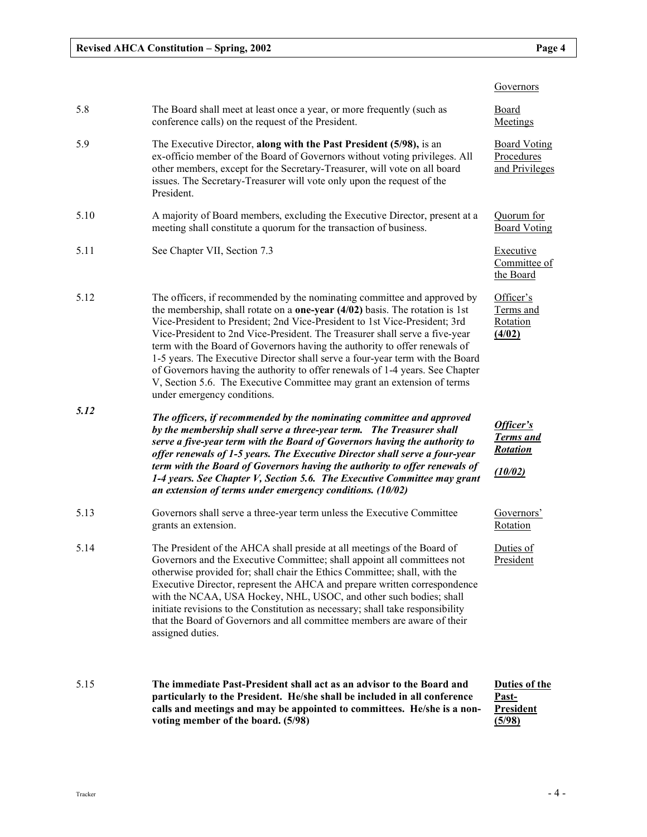|      |                                                                                                                                                                                                                                                                                                                                                                                                                                                                                                                                                                                                                                                                                          | Governors                                                   |
|------|------------------------------------------------------------------------------------------------------------------------------------------------------------------------------------------------------------------------------------------------------------------------------------------------------------------------------------------------------------------------------------------------------------------------------------------------------------------------------------------------------------------------------------------------------------------------------------------------------------------------------------------------------------------------------------------|-------------------------------------------------------------|
| 5.8  | The Board shall meet at least once a year, or more frequently (such as<br>conference calls) on the request of the President.                                                                                                                                                                                                                                                                                                                                                                                                                                                                                                                                                             | <b>Board</b><br>Meetings                                    |
| 5.9  | The Executive Director, along with the Past President (5/98), is an<br>ex-officio member of the Board of Governors without voting privileges. All<br>other members, except for the Secretary-Treasurer, will vote on all board<br>issues. The Secretary-Treasurer will vote only upon the request of the<br>President.                                                                                                                                                                                                                                                                                                                                                                   | <b>Board Voting</b><br>Procedures<br>and Privileges         |
| 5.10 | A majority of Board members, excluding the Executive Director, present at a<br>meeting shall constitute a quorum for the transaction of business.                                                                                                                                                                                                                                                                                                                                                                                                                                                                                                                                        | Quorum for<br><b>Board Voting</b>                           |
| 5.11 | See Chapter VII, Section 7.3                                                                                                                                                                                                                                                                                                                                                                                                                                                                                                                                                                                                                                                             | <b>Executive</b><br>Committee of<br>the Board               |
| 5.12 | The officers, if recommended by the nominating committee and approved by<br>the membership, shall rotate on a <b>one-year</b> $(4/02)$ basis. The rotation is 1st<br>Vice-President to President; 2nd Vice-President to 1st Vice-President; 3rd<br>Vice-President to 2nd Vice-President. The Treasurer shall serve a five-year<br>term with the Board of Governors having the authority to offer renewals of<br>1-5 years. The Executive Director shall serve a four-year term with the Board<br>of Governors having the authority to offer renewals of 1-4 years. See Chapter<br>V, Section 5.6. The Executive Committee may grant an extension of terms<br>under emergency conditions. | Officer's<br>Terms and<br>Rotation<br>(4/02)                |
| 5.12 | The officers, if recommended by the nominating committee and approved<br>by the membership shall serve a three-year term. The Treasurer shall<br>serve a five-year term with the Board of Governors having the authority to<br>offer renewals of 1-5 years. The Executive Director shall serve a four-year<br>term with the Board of Governors having the authority to offer renewals of<br>1-4 years. See Chapter V, Section 5.6. The Executive Committee may grant<br>an extension of terms under emergency conditions. (10/02)                                                                                                                                                        | Officer's<br><b>Terms</b> and<br><b>Rotation</b><br>(10/02) |
| 5.13 | Governors shall serve a three-year term unless the Executive Committee<br>grants an extension.                                                                                                                                                                                                                                                                                                                                                                                                                                                                                                                                                                                           | Governors'<br>Rotation                                      |
| 5.14 | The President of the AHCA shall preside at all meetings of the Board of<br>Governors and the Executive Committee; shall appoint all committees not<br>otherwise provided for; shall chair the Ethics Committee; shall, with the<br>Executive Director, represent the AHCA and prepare written correspondence<br>with the NCAA, USA Hockey, NHL, USOC, and other such bodies; shall<br>initiate revisions to the Constitution as necessary; shall take responsibility<br>that the Board of Governors and all committee members are aware of their<br>assigned duties.                                                                                                                     | Duties of<br>President                                      |
| 5.15 | The immediate Past-President shall act as an advisor to the Board and<br>particularly to the President. He/she shall be included in all conference<br>calls and meetings and may be appointed to committees. He/she is a non-<br>voting member of the board. (5/98)                                                                                                                                                                                                                                                                                                                                                                                                                      | Duties of the<br><u>Past-</u><br><b>President</b><br>(5/98) |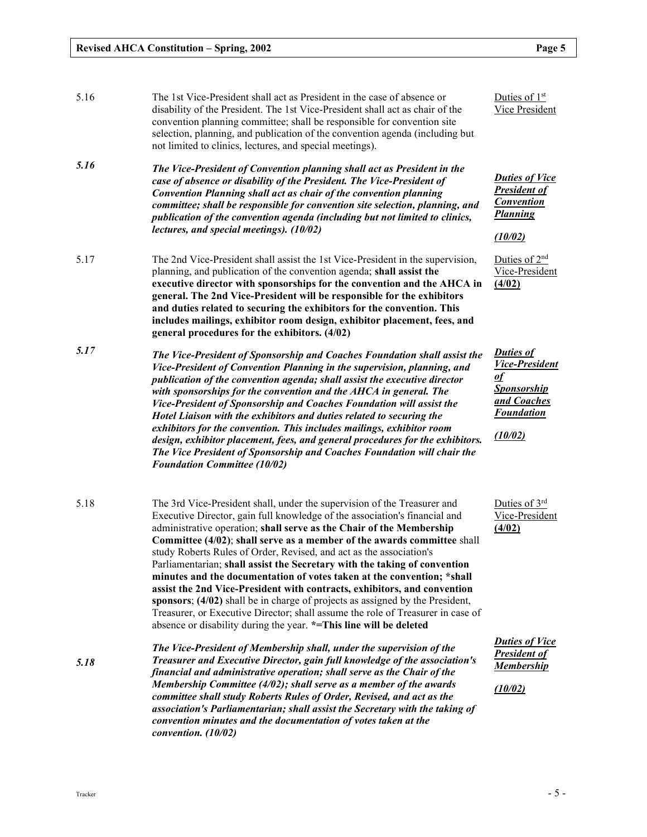| 5.16 | The 1st Vice-President shall act as President in the case of absence or<br>disability of the President. The 1st Vice-President shall act as chair of the<br>convention planning committee; shall be responsible for convention site<br>selection, planning, and publication of the convention agenda (including but<br>not limited to clinics, lectures, and special meetings).                                                                                                                                                                                                                                                                                                                                                                                                                                                                               | Duties of $1st$<br>Vice President                                                                                           |
|------|---------------------------------------------------------------------------------------------------------------------------------------------------------------------------------------------------------------------------------------------------------------------------------------------------------------------------------------------------------------------------------------------------------------------------------------------------------------------------------------------------------------------------------------------------------------------------------------------------------------------------------------------------------------------------------------------------------------------------------------------------------------------------------------------------------------------------------------------------------------|-----------------------------------------------------------------------------------------------------------------------------|
| 5.16 | The Vice-President of Convention planning shall act as President in the<br>case of absence or disability of the President. The Vice-President of<br>Convention Planning shall act as chair of the convention planning<br>committee; shall be responsible for convention site selection, planning, and<br>publication of the convention agenda (including but not limited to clinics,<br>lectures, and special meetings). (10/02)                                                                                                                                                                                                                                                                                                                                                                                                                              | <b>Duties of Vice</b><br><b>President of</b><br><b>Convention</b><br><b>Planning</b><br>(10/02)                             |
| 5.17 | The 2nd Vice-President shall assist the 1st Vice-President in the supervision,<br>planning, and publication of the convention agenda; shall assist the<br>executive director with sponsorships for the convention and the AHCA in<br>general. The 2nd Vice-President will be responsible for the exhibitors<br>and duties related to securing the exhibitors for the convention. This<br>includes mailings, exhibitor room design, exhibitor placement, fees, and<br>general procedures for the exhibitors. (4/02)                                                                                                                                                                                                                                                                                                                                            | Duties of $2nd$<br>Vice-President<br>(4/02)                                                                                 |
| 5.17 | The Vice-President of Sponsorship and Coaches Foundation shall assist the<br>Vice-President of Convention Planning in the supervision, planning, and<br>publication of the convention agenda; shall assist the executive director<br>with sponsorships for the convention and the AHCA in general. The<br>Vice-President of Sponsorship and Coaches Foundation will assist the<br>Hotel Liaison with the exhibitors and duties related to securing the<br>exhibitors for the convention. This includes mailings, exhibitor room<br>design, exhibitor placement, fees, and general procedures for the exhibitors.<br>The Vice President of Sponsorship and Coaches Foundation will chair the<br><b>Foundation Committee (10/02)</b>                                                                                                                            | <b>Duties of</b><br><b>Vice-President</b><br><u>of</u><br><b>Sponsorship</b><br>and Coaches<br><b>Foundation</b><br>(10/02) |
| 5.18 | The 3rd Vice-President shall, under the supervision of the Treasurer and<br>Executive Director, gain full knowledge of the association's financial and<br>administrative operation; shall serve as the Chair of the Membership<br>Committee (4/02); shall serve as a member of the awards committee shall<br>study Roberts Rules of Order, Revised, and act as the association's<br>Parliamentarian; shall assist the Secretary with the taking of convention<br>minutes and the documentation of votes taken at the convention; *shall<br>assist the 2nd Vice-President with contracts, exhibitors, and convention<br>sponsors; (4/02) shall be in charge of projects as assigned by the President,<br>Treasurer, or Executive Director; shall assume the role of Treasurer in case of<br>absence or disability during the year. *=This line will be deleted | Duties of $3rd$<br>Vice-President<br>(4/02)                                                                                 |
| 5.18 | The Vice-President of Membership shall, under the supervision of the<br>Treasurer and Executive Director, gain full knowledge of the association's<br>financial and administrative operation; shall serve as the Chair of the<br>Membership Committee (4/02); shall serve as a member of the awards<br>committee shall study Roberts Rules of Order, Revised, and act as the<br>association's Parliamentarian; shall assist the Secretary with the taking of<br>convention minutes and the documentation of votes taken at the<br>convention. $(10/02)$                                                                                                                                                                                                                                                                                                       | <b>Duties of Vice</b><br><b>President of</b><br><b>Membership</b><br>(10/02)                                                |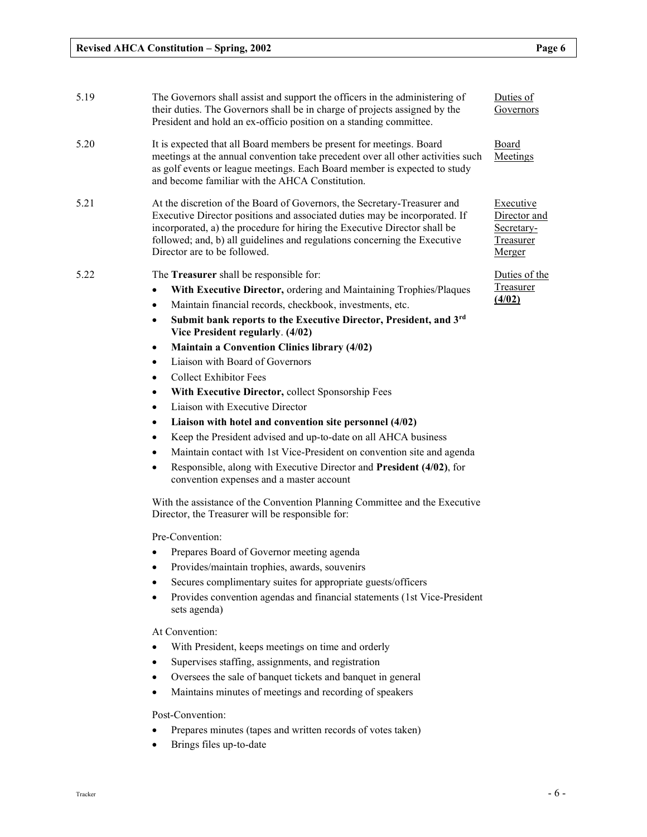| 5.19 | The Governors shall assist and support the officers in the administering of<br>their duties. The Governors shall be in charge of projects assigned by the<br>President and hold an ex-officio position on a standing committee.                                                                                                                                                                                                                                                                                                                                                                                                                                                                                                                                                                                                                                                                                                                                              | Duties of<br>Governors                                         |
|------|------------------------------------------------------------------------------------------------------------------------------------------------------------------------------------------------------------------------------------------------------------------------------------------------------------------------------------------------------------------------------------------------------------------------------------------------------------------------------------------------------------------------------------------------------------------------------------------------------------------------------------------------------------------------------------------------------------------------------------------------------------------------------------------------------------------------------------------------------------------------------------------------------------------------------------------------------------------------------|----------------------------------------------------------------|
| 5.20 | It is expected that all Board members be present for meetings. Board<br>meetings at the annual convention take precedent over all other activities such<br>as golf events or league meetings. Each Board member is expected to study<br>and become familiar with the AHCA Constitution.                                                                                                                                                                                                                                                                                                                                                                                                                                                                                                                                                                                                                                                                                      | Board<br>Meetings                                              |
| 5.21 | At the discretion of the Board of Governors, the Secretary-Treasurer and<br>Executive Director positions and associated duties may be incorporated. If<br>incorporated, a) the procedure for hiring the Executive Director shall be<br>followed; and, b) all guidelines and regulations concerning the Executive<br>Director are to be followed.                                                                                                                                                                                                                                                                                                                                                                                                                                                                                                                                                                                                                             | Executive<br>Director and<br>Secretary-<br>Treasurer<br>Merger |
| 5.22 | The Treasurer shall be responsible for:<br>With Executive Director, ordering and Maintaining Trophies/Plaques<br>$\bullet$<br>Maintain financial records, checkbook, investments, etc.<br>٠<br>Submit bank reports to the Executive Director, President, and 3rd<br>$\bullet$<br>Vice President regularly. (4/02)<br><b>Maintain a Convention Clinics library (4/02)</b><br>$\bullet$<br>Liaison with Board of Governors<br>$\bullet$<br><b>Collect Exhibitor Fees</b><br>٠<br>With Executive Director, collect Sponsorship Fees<br>$\bullet$<br>Liaison with Executive Director<br>$\bullet$<br>Liaison with hotel and convention site personnel (4/02)<br>$\bullet$<br>Keep the President advised and up-to-date on all AHCA business<br>$\bullet$<br>Maintain contact with 1st Vice-President on convention site and agenda<br>$\bullet$<br>Responsible, along with Executive Director and President (4/02), for<br>$\bullet$<br>convention expenses and a master account | Duties of the<br>Treasurer<br>(4/02)                           |
|      | With the assistance of the Convention Planning Committee and the Executive<br>Director, the Treasurer will be responsible for:<br>Pre-Convention:<br>Prepares Board of Governor meeting agenda<br>$\bullet$<br>Provides/maintain trophies, awards, souvenirs<br>$\bullet$<br>Secures complimentary suites for appropriate guests/officers<br>$\bullet$<br>Provides convention agendas and financial statements (1st Vice-President<br>$\bullet$<br>sets agenda)                                                                                                                                                                                                                                                                                                                                                                                                                                                                                                              |                                                                |
|      | $\lambda$                                                                                                                                                                                                                                                                                                                                                                                                                                                                                                                                                                                                                                                                                                                                                                                                                                                                                                                                                                    |                                                                |

At Convention:

- With President, keeps meetings on time and orderly
- Supervises staffing, assignments, and registration
- Oversees the sale of banquet tickets and banquet in general
- Maintains minutes of meetings and recording of speakers

Post-Convention:

- Prepares minutes (tapes and written records of votes taken)
- Brings files up-to-date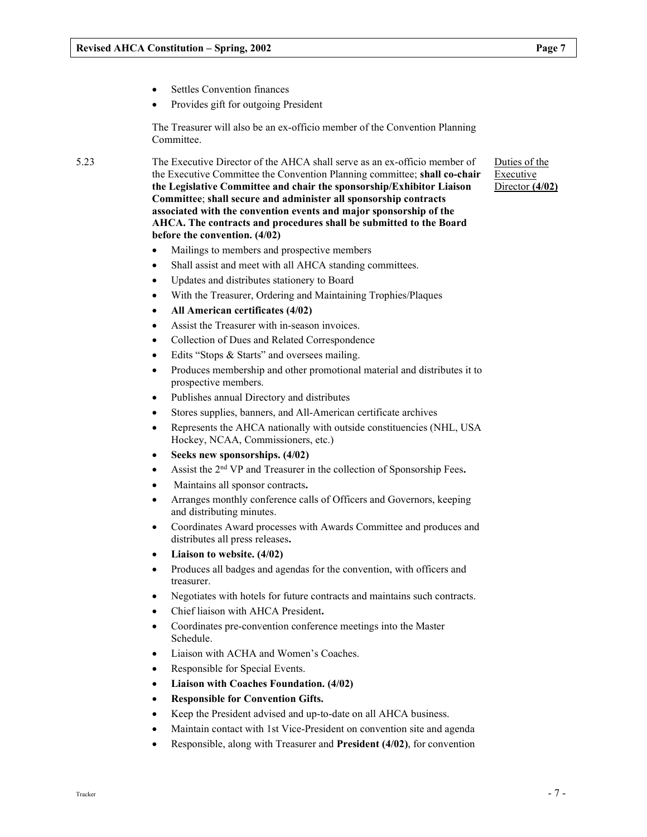- Settles Convention finances
- Provides gift for outgoing President

The Treasurer will also be an ex-officio member of the Convention Planning Committee.

5.23 The Executive Director of the AHCA shall serve as an ex-officio member of the Executive Committee the Convention Planning committee; shall co-chair the Legislative Committee and chair the sponsorship/Exhibitor Liaison Committee; shall secure and administer all sponsorship contracts associated with the convention events and major sponsorship of the AHCA. The contracts and procedures shall be submitted to the Board before the convention. (4/02)

- Mailings to members and prospective members
- Shall assist and meet with all AHCA standing committees.
- Updates and distributes stationery to Board
- With the Treasurer, Ordering and Maintaining Trophies/Plaques
- All American certificates (4/02)
- Assist the Treasurer with in-season invoices.
- Collection of Dues and Related Correspondence
- Edits "Stops & Starts" and oversees mailing.
- Produces membership and other promotional material and distributes it to prospective members.
- Publishes annual Directory and distributes
- Stores supplies, banners, and All-American certificate archives
- Represents the AHCA nationally with outside constituencies (NHL, USA Hockey, NCAA, Commissioners, etc.)
- Seeks new sponsorships. (4/02)
- Assist the 2nd VP and Treasurer in the collection of Sponsorship Fees.
- Maintains all sponsor contracts.
- Arranges monthly conference calls of Officers and Governors, keeping and distributing minutes.
- Coordinates Award processes with Awards Committee and produces and distributes all press releases.
- Liaison to website. (4/02)
- Produces all badges and agendas for the convention, with officers and treasurer.
- Negotiates with hotels for future contracts and maintains such contracts.
- Chief liaison with AHCA President.
- Coordinates pre-convention conference meetings into the Master Schedule.
- Liaison with ACHA and Women's Coaches.
- Responsible for Special Events.
- Liaison with Coaches Foundation. (4/02)
- Responsible for Convention Gifts.
- Keep the President advised and up-to-date on all AHCA business.
- Maintain contact with 1st Vice-President on convention site and agenda
- Responsible, along with Treasurer and President (4/02), for convention

Duties of the Executive Director (4/02)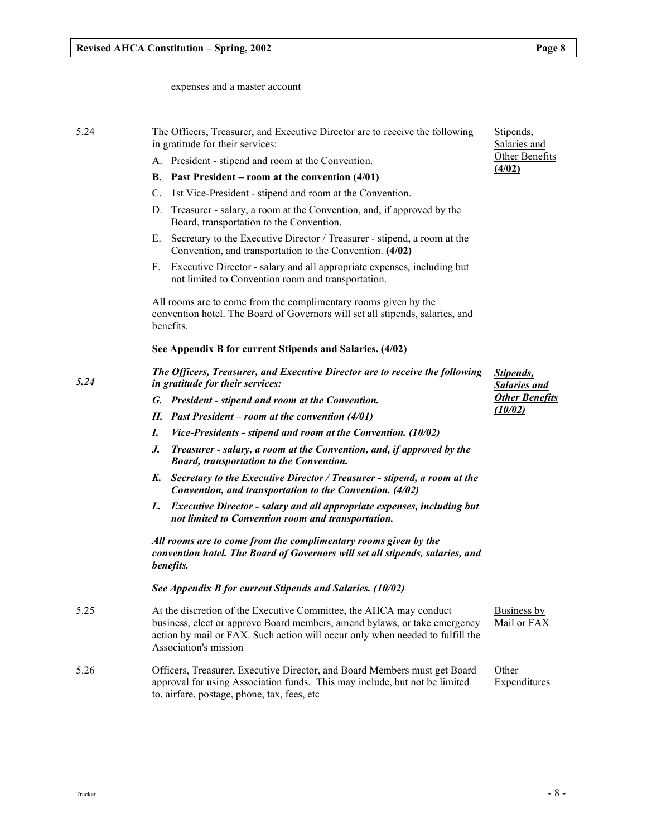expenses and a master account

| 5.24 | The Officers, Treasurer, and Executive Director are to receive the following<br>in gratitude for their services:                                                                                                                                          | Stipends,<br>Salaries and                |
|------|-----------------------------------------------------------------------------------------------------------------------------------------------------------------------------------------------------------------------------------------------------------|------------------------------------------|
|      | A. President - stipend and room at the Convention.                                                                                                                                                                                                        | Other Benefits                           |
|      | Past President – room at the convention $(4/01)$<br>В.                                                                                                                                                                                                    | (4/02)                                   |
|      | 1st Vice-President - stipend and room at the Convention.<br>C.                                                                                                                                                                                            |                                          |
|      | Treasurer - salary, a room at the Convention, and, if approved by the<br>D.<br>Board, transportation to the Convention.                                                                                                                                   |                                          |
|      | Secretary to the Executive Director / Treasurer - stipend, a room at the<br>Е.<br>Convention, and transportation to the Convention. (4/02)                                                                                                                |                                          |
|      | Executive Director - salary and all appropriate expenses, including but<br>F.<br>not limited to Convention room and transportation.                                                                                                                       |                                          |
|      | All rooms are to come from the complimentary rooms given by the<br>convention hotel. The Board of Governors will set all stipends, salaries, and<br>benefits.                                                                                             |                                          |
|      | See Appendix B for current Stipends and Salaries. (4/02)                                                                                                                                                                                                  |                                          |
| 5.24 | The Officers, Treasurer, and Executive Director are to receive the following<br>in gratitude for their services:                                                                                                                                          | <b>Stipends</b> ,<br><b>Salaries and</b> |
|      | G. President - stipend and room at the Convention.                                                                                                                                                                                                        | <b>Other Benefits</b>                    |
|      | H. Past President – room at the convention $(4/01)$                                                                                                                                                                                                       | (10/02)                                  |
|      | I.<br>Vice-Presidents - stipend and room at the Convention. (10/02)                                                                                                                                                                                       |                                          |
|      | Treasurer - salary, a room at the Convention, and, if approved by the<br>J.<br><b>Board, transportation to the Convention.</b>                                                                                                                            |                                          |
|      | K. Secretary to the Executive Director / Treasurer - stipend, a room at the<br>Convention, and transportation to the Convention. (4/02)                                                                                                                   |                                          |
|      | <b>Executive Director - salary and all appropriate expenses, including but</b><br>L.<br>not limited to Convention room and transportation.                                                                                                                |                                          |
|      | All rooms are to come from the complimentary rooms given by the<br>convention hotel. The Board of Governors will set all stipends, salaries, and<br>benefits.                                                                                             |                                          |
|      | See Appendix B for current Stipends and Salaries. (10/02)                                                                                                                                                                                                 |                                          |
| 5.25 | At the discretion of the Executive Committee, the AHCA may conduct<br>business, elect or approve Board members, amend bylaws, or take emergency<br>action by mail or FAX. Such action will occur only when needed to fulfill the<br>Association's mission | Business by<br>Mail or FAX               |
| 5.26 | Officers, Treasurer, Executive Director, and Board Members must get Board<br>approval for using Association funds. This may include, but not be limited<br>to, airfare, postage, phone, tax, fees, etc                                                    | Other<br>Expenditures                    |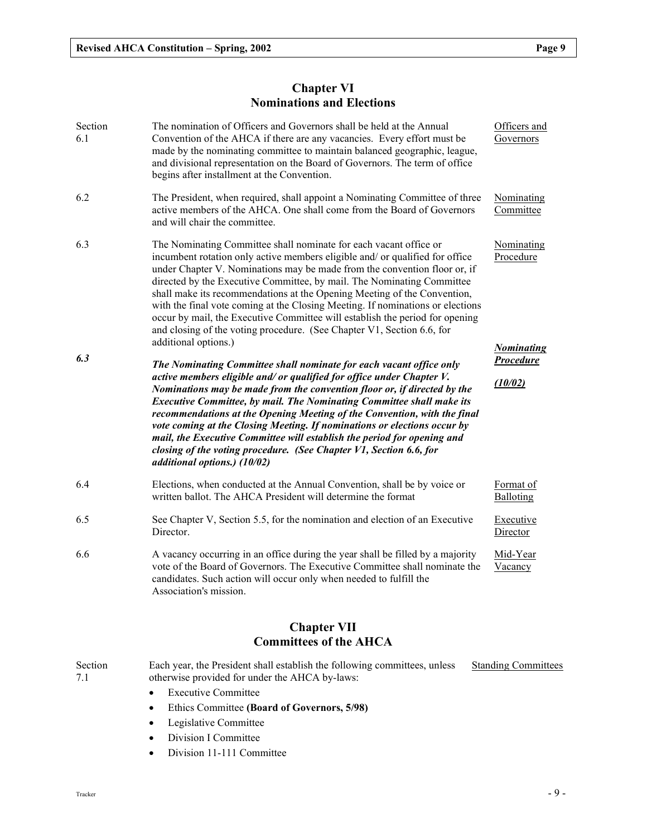# Chapter VI Nominations and Elections

| Section<br>6.1 | The nomination of Officers and Governors shall be held at the Annual<br>Convention of the AHCA if there are any vacancies. Every effort must be<br>made by the nominating committee to maintain balanced geographic, league,<br>and divisional representation on the Board of Governors. The term of office<br>begins after installment at the Convention.                                                                                                                                                                                                                                                                                               | Officers and<br>Governors                    |
|----------------|----------------------------------------------------------------------------------------------------------------------------------------------------------------------------------------------------------------------------------------------------------------------------------------------------------------------------------------------------------------------------------------------------------------------------------------------------------------------------------------------------------------------------------------------------------------------------------------------------------------------------------------------------------|----------------------------------------------|
| 6.2            | The President, when required, shall appoint a Nominating Committee of three<br>active members of the AHCA. One shall come from the Board of Governors<br>and will chair the committee.                                                                                                                                                                                                                                                                                                                                                                                                                                                                   | Nominating<br>Committee                      |
| 6.3            | The Nominating Committee shall nominate for each vacant office or<br>incumbent rotation only active members eligible and/ or qualified for office<br>under Chapter V. Nominations may be made from the convention floor or, if<br>directed by the Executive Committee, by mail. The Nominating Committee<br>shall make its recommendations at the Opening Meeting of the Convention,<br>with the final vote coming at the Closing Meeting. If nominations or elections<br>occur by mail, the Executive Committee will establish the period for opening<br>and closing of the voting procedure. (See Chapter V1, Section 6.6, for<br>additional options.) | Nominating<br>Procedure<br><b>Nominating</b> |
| 6.3            | The Nominating Committee shall nominate for each vacant office only<br>active members eligible and/ or qualified for office under Chapter V.<br>Nominations may be made from the convention floor or, if directed by the<br><b>Executive Committee, by mail. The Nominating Committee shall make its</b><br>recommendations at the Opening Meeting of the Convention, with the final<br>vote coming at the Closing Meeting. If nominations or elections occur by<br>mail, the Executive Committee will establish the period for opening and<br>closing of the voting procedure. (See Chapter V1, Section 6.6, for<br>additional options.) (10/02)        | <b>Procedure</b><br>(10/02)                  |
| 6.4            | Elections, when conducted at the Annual Convention, shall be by voice or<br>written ballot. The AHCA President will determine the format                                                                                                                                                                                                                                                                                                                                                                                                                                                                                                                 | Format of<br>Balloting                       |
| 6.5            | See Chapter V, Section 5.5, for the nomination and election of an Executive<br>Director.                                                                                                                                                                                                                                                                                                                                                                                                                                                                                                                                                                 | Executive<br>Director                        |
| 6.6            | A vacancy occurring in an office during the year shall be filled by a majority<br>vote of the Board of Governors. The Executive Committee shall nominate the<br>candidates. Such action will occur only when needed to fulfill the<br>Association's mission.                                                                                                                                                                                                                                                                                                                                                                                             | Mid-Year<br>Vacancy                          |

# Chapter VII Committees of the AHCA

| Section<br>7.1 | Each year, the President shall establish the following committees, unless<br>otherwise provided for under the AHCA by-laws: | <b>Standing Committees</b> |
|----------------|-----------------------------------------------------------------------------------------------------------------------------|----------------------------|
|                | • Executive Committee                                                                                                       |                            |
|                | • Ethics Committee (Board of Governors, 5/98)                                                                               |                            |
|                | • Legislative Committee                                                                                                     |                            |

- Division I Committee
- Division 11-111 Committee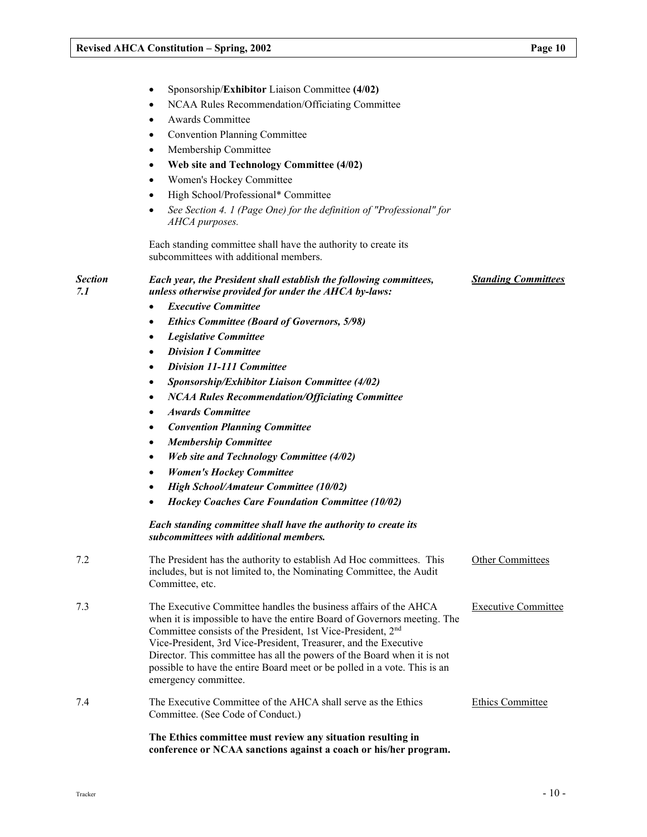Sponsorship/Exhibitor Liaison Committee (4/02)

|                       | NCAA Rules Recommendation/Officiating Committee                                                                                                                                                                                                                                                                                                                                                                                                                              |                            |
|-----------------------|------------------------------------------------------------------------------------------------------------------------------------------------------------------------------------------------------------------------------------------------------------------------------------------------------------------------------------------------------------------------------------------------------------------------------------------------------------------------------|----------------------------|
|                       | Awards Committee<br>$\bullet$                                                                                                                                                                                                                                                                                                                                                                                                                                                |                            |
|                       | <b>Convention Planning Committee</b><br>٠                                                                                                                                                                                                                                                                                                                                                                                                                                    |                            |
|                       | Membership Committee<br>$\bullet$                                                                                                                                                                                                                                                                                                                                                                                                                                            |                            |
|                       | Web site and Technology Committee (4/02)<br>٠                                                                                                                                                                                                                                                                                                                                                                                                                                |                            |
|                       | Women's Hockey Committee<br>٠                                                                                                                                                                                                                                                                                                                                                                                                                                                |                            |
|                       | High School/Professional* Committee<br>$\bullet$                                                                                                                                                                                                                                                                                                                                                                                                                             |                            |
|                       | See Section 4. 1 (Page One) for the definition of "Professional" for<br>٠<br>AHCA purposes.                                                                                                                                                                                                                                                                                                                                                                                  |                            |
|                       | Each standing committee shall have the authority to create its<br>subcommittees with additional members.                                                                                                                                                                                                                                                                                                                                                                     |                            |
| <b>Section</b><br>7.1 | Each year, the President shall establish the following committees,<br>unless otherwise provided for under the AHCA by-laws:                                                                                                                                                                                                                                                                                                                                                  | <b>Standing Committees</b> |
|                       | <b>Executive Committee</b>                                                                                                                                                                                                                                                                                                                                                                                                                                                   |                            |
|                       | <b>Ethics Committee (Board of Governors, 5/98)</b><br>$\bullet$                                                                                                                                                                                                                                                                                                                                                                                                              |                            |
|                       | <b>Legislative Committee</b><br>$\bullet$                                                                                                                                                                                                                                                                                                                                                                                                                                    |                            |
|                       | <b>Division I Committee</b><br>$\bullet$                                                                                                                                                                                                                                                                                                                                                                                                                                     |                            |
|                       | <b>Division 11-111 Committee</b><br>$\bullet$                                                                                                                                                                                                                                                                                                                                                                                                                                |                            |
|                       | Sponsorship/Exhibitor Liaison Committee (4/02)<br>٠                                                                                                                                                                                                                                                                                                                                                                                                                          |                            |
|                       | <b>NCAA Rules Recommendation/Officiating Committee</b><br>٠                                                                                                                                                                                                                                                                                                                                                                                                                  |                            |
|                       | <b>Awards Committee</b><br>$\bullet$                                                                                                                                                                                                                                                                                                                                                                                                                                         |                            |
|                       | <b>Convention Planning Committee</b><br>$\bullet$                                                                                                                                                                                                                                                                                                                                                                                                                            |                            |
|                       | <b>Membership Committee</b><br>$\bullet$                                                                                                                                                                                                                                                                                                                                                                                                                                     |                            |
|                       | <b>Web site and Technology Committee (4/02)</b><br>$\bullet$                                                                                                                                                                                                                                                                                                                                                                                                                 |                            |
|                       | <b>Women's Hockey Committee</b><br>٠                                                                                                                                                                                                                                                                                                                                                                                                                                         |                            |
|                       | <b>High School/Amateur Committee (10/02)</b>                                                                                                                                                                                                                                                                                                                                                                                                                                 |                            |
|                       | <b>Hockey Coaches Care Foundation Committee (10/02)</b>                                                                                                                                                                                                                                                                                                                                                                                                                      |                            |
|                       | Each standing committee shall have the authority to create its<br>subcommittees with additional members.                                                                                                                                                                                                                                                                                                                                                                     |                            |
| 7.2                   | The President has the authority to establish Ad Hoc committees. This<br>includes, but is not limited to, the Nominating Committee, the Audit<br>Committee, etc.                                                                                                                                                                                                                                                                                                              | <b>Other Committees</b>    |
| 7.3                   | The Executive Committee handles the business affairs of the AHCA<br>when it is impossible to have the entire Board of Governors meeting. The<br>Committee consists of the President, 1st Vice-President, 2 <sup>nd</sup><br>Vice-President, 3rd Vice-President, Treasurer, and the Executive<br>Director. This committee has all the powers of the Board when it is not<br>possible to have the entire Board meet or be polled in a vote. This is an<br>emergency committee. | <b>Executive Committee</b> |
| 7.4                   | The Executive Committee of the AHCA shall serve as the Ethics<br>Committee. (See Code of Conduct.)                                                                                                                                                                                                                                                                                                                                                                           | <b>Ethics Committee</b>    |
|                       | The Ethics committee must review any situation resulting in<br>conference or NCAA sanctions against a coach or his/her program.                                                                                                                                                                                                                                                                                                                                              |                            |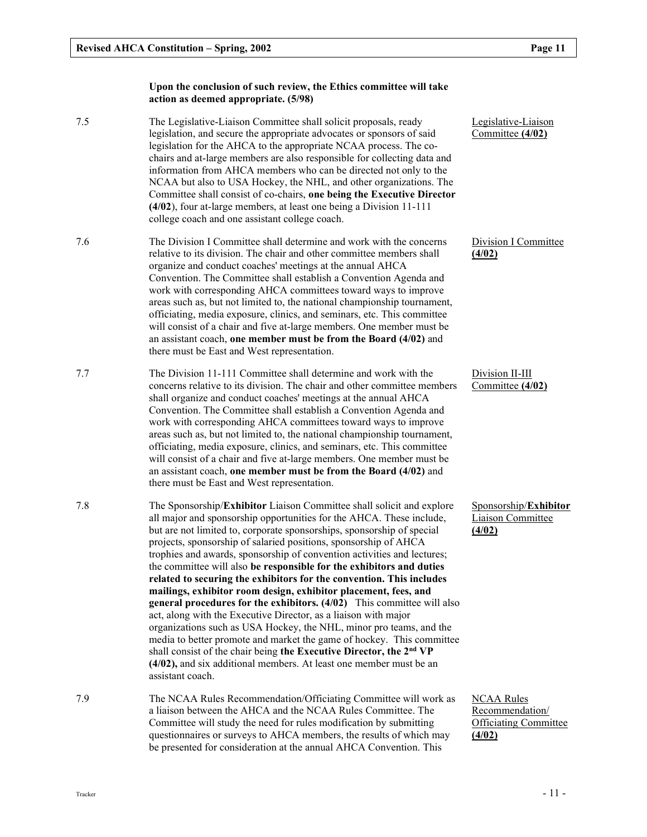#### Upon the conclusion of such review, the Ethics committee will take action as deemed appropriate. (5/98)

- 7.5 The Legislative-Liaison Committee shall solicit proposals, ready legislation, and secure the appropriate advocates or sponsors of said legislation for the AHCA to the appropriate NCAA process. The cochairs and at-large members are also responsible for collecting data and information from AHCA members who can be directed not only to the NCAA but also to USA Hockey, the NHL, and other organizations. The Committee shall consist of co-chairs, one being the Executive Director (4/02), four at-large members, at least one being a Division 11-111 college coach and one assistant college coach.
- 7.6 The Division I Committee shall determine and work with the concerns relative to its division. The chair and other committee members shall organize and conduct coaches' meetings at the annual AHCA Convention. The Committee shall establish a Convention Agenda and work with corresponding AHCA committees toward ways to improve areas such as, but not limited to, the national championship tournament, officiating, media exposure, clinics, and seminars, etc. This committee will consist of a chair and five at-large members. One member must be an assistant coach, one member must be from the Board (4/02) and there must be East and West representation.
- 7.7 The Division 11-111 Committee shall determine and work with the concerns relative to its division. The chair and other committee members shall organize and conduct coaches' meetings at the annual AHCA Convention. The Committee shall establish a Convention Agenda and work with corresponding AHCA committees toward ways to improve areas such as, but not limited to, the national championship tournament, officiating, media exposure, clinics, and seminars, etc. This committee will consist of a chair and five at-large members. One member must be an assistant coach, one member must be from the Board (4/02) and there must be East and West representation.
- 7.8 The Sponsorship/Exhibitor Liaison Committee shall solicit and explore all major and sponsorship opportunities for the AHCA. These include, but are not limited to, corporate sponsorships, sponsorship of special projects, sponsorship of salaried positions, sponsorship of AHCA trophies and awards, sponsorship of convention activities and lectures; the committee will also be responsible for the exhibitors and duties related to securing the exhibitors for the convention. This includes mailings, exhibitor room design, exhibitor placement, fees, and general procedures for the exhibitors. (4/02) This committee will also act, along with the Executive Director, as a liaison with major organizations such as USA Hockey, the NHL, minor pro teams, and the media to better promote and market the game of hockey. This committee shall consist of the chair being the Executive Director, the 2<sup>nd</sup> VP (4/02), and six additional members. At least one member must be an assistant coach.
- 7.9 The NCAA Rules Recommendation/Officiating Committee will work as a liaison between the AHCA and the NCAA Rules Committee. The Committee will study the need for rules modification by submitting questionnaires or surveys to AHCA members, the results of which may be presented for consideration at the annual AHCA Convention. This

Legislative-Liaison Committee (4/02)

Division I Committee (4/02)

Division II-III Committee (4/02)

Sponsorship/Exhibitor Liaison Committee (4/02)

NCAA Rules Recommendation/ Officiating Committee (4/02)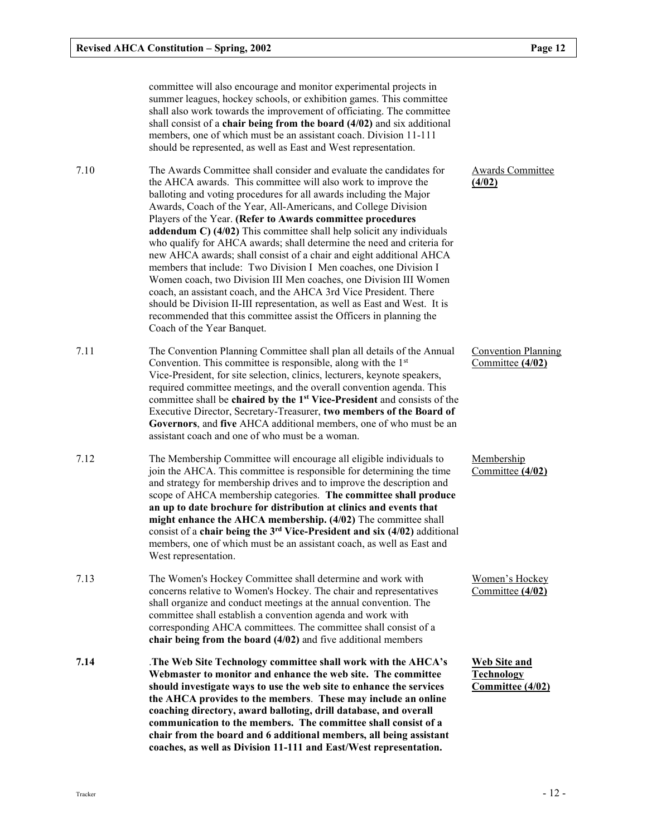committee will also encourage and monitor experimental projects in summer leagues, hockey schools, or exhibition games. This committee shall also work towards the improvement of officiating. The committee shall consist of a chair being from the board (4/02) and six additional members, one of which must be an assistant coach. Division 11-111 should be represented, as well as East and West representation.

7.10 The Awards Committee shall consider and evaluate the candidates for the AHCA awards. This committee will also work to improve the balloting and voting procedures for all awards including the Major Awards, Coach of the Year, All-Americans, and College Division Players of the Year. (Refer to Awards committee procedures addendum C) (4/02) This committee shall help solicit any individuals who qualify for AHCA awards; shall determine the need and criteria for new AHCA awards; shall consist of a chair and eight additional AHCA members that include: Two Division I Men coaches, one Division I Women coach, two Division III Men coaches, one Division III Women coach, an assistant coach, and the AHCA 3rd Vice President. There should be Division II-III representation, as well as East and West. It is recommended that this committee assist the Officers in planning the Coach of the Year Banquet.

7.11 The Convention Planning Committee shall plan all details of the Annual Convention. This committee is responsible, along with the  $1<sup>st</sup>$ Vice-President, for site selection, clinics, lecturers, keynote speakers, required committee meetings, and the overall convention agenda. This committee shall be chaired by the 1<sup>st</sup> Vice-President and consists of the Executive Director, Secretary-Treasurer, two members of the Board of Governors, and five AHCA additional members, one of who must be an assistant coach and one of who must be a woman.

7.12 The Membership Committee will encourage all eligible individuals to join the AHCA. This committee is responsible for determining the time and strategy for membership drives and to improve the description and scope of AHCA membership categories. The committee shall produce an up to date brochure for distribution at clinics and events that might enhance the AHCA membership. (4/02) The committee shall consist of a chair being the  $3<sup>rd</sup>$  Vice-President and six (4/02) additional members, one of which must be an assistant coach, as well as East and West representation.

- 7.13 The Women's Hockey Committee shall determine and work with concerns relative to Women's Hockey. The chair and representatives shall organize and conduct meetings at the annual convention. The committee shall establish a convention agenda and work with corresponding AHCA committees. The committee shall consist of a chair being from the board (4/02) and five additional members
- 7.14 .The Web Site Technology committee shall work with the AHCA's Webmaster to monitor and enhance the web site. The committee should investigate ways to use the web site to enhance the services the AHCA provides to the members. These may include an online coaching directory, award balloting, drill database, and overall communication to the members. The committee shall consist of a chair from the board and 6 additional members, all being assistant coaches, as well as Division 11-111 and East/West representation.

Awards Committee (4/02)

Convention Planning Committee (4/02)

**Membership** Committee (4/02)

Women's Hockey Committee (4/02)

Web Site and Technology Committee (4/02)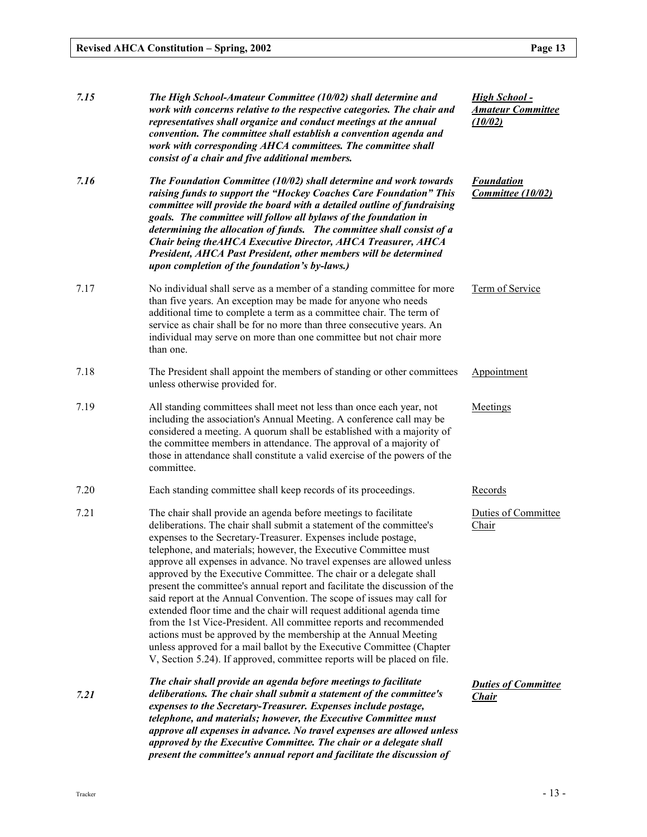| 7.15 | The High School-Amateur Committee (10/02) shall determine and<br>work with concerns relative to the respective categories. The chair and<br>representatives shall organize and conduct meetings at the annual<br>convention. The committee shall establish a convention agenda and<br>work with corresponding AHCA committees. The committee shall<br>consist of a chair and five additional members.                                                                                                                                                                                                                                                                                                                                                                                                                                                                                                                                                        | <b>High School -</b><br><b>Amateur Committee</b><br>(10/02) |
|------|--------------------------------------------------------------------------------------------------------------------------------------------------------------------------------------------------------------------------------------------------------------------------------------------------------------------------------------------------------------------------------------------------------------------------------------------------------------------------------------------------------------------------------------------------------------------------------------------------------------------------------------------------------------------------------------------------------------------------------------------------------------------------------------------------------------------------------------------------------------------------------------------------------------------------------------------------------------|-------------------------------------------------------------|
| 7.16 | The Foundation Committee (10/02) shall determine and work towards<br>raising funds to support the "Hockey Coaches Care Foundation" This<br>committee will provide the board with a detailed outline of fundraising<br>goals. The committee will follow all bylaws of the foundation in<br>determining the allocation of funds. The committee shall consist of a<br>Chair being the AHCA Executive Director, AHCA Treasurer, AHCA<br>President, AHCA Past President, other members will be determined<br>upon completion of the foundation's by-laws.)                                                                                                                                                                                                                                                                                                                                                                                                        | <b>Foundation</b><br>Committee (10/02)                      |
| 7.17 | No individual shall serve as a member of a standing committee for more<br>than five years. An exception may be made for anyone who needs<br>additional time to complete a term as a committee chair. The term of<br>service as chair shall be for no more than three consecutive years. An<br>individual may serve on more than one committee but not chair more<br>than one.                                                                                                                                                                                                                                                                                                                                                                                                                                                                                                                                                                                | Term of Service                                             |
| 7.18 | The President shall appoint the members of standing or other committees<br>unless otherwise provided for.                                                                                                                                                                                                                                                                                                                                                                                                                                                                                                                                                                                                                                                                                                                                                                                                                                                    | Appointment                                                 |
| 7.19 | All standing committees shall meet not less than once each year, not<br>including the association's Annual Meeting. A conference call may be<br>considered a meeting. A quorum shall be established with a majority of<br>the committee members in attendance. The approval of a majority of<br>those in attendance shall constitute a valid exercise of the powers of the<br>committee.                                                                                                                                                                                                                                                                                                                                                                                                                                                                                                                                                                     | Meetings                                                    |
| 7.20 | Each standing committee shall keep records of its proceedings.                                                                                                                                                                                                                                                                                                                                                                                                                                                                                                                                                                                                                                                                                                                                                                                                                                                                                               | Records                                                     |
| 7.21 | The chair shall provide an agenda before meetings to facilitate<br>deliberations. The chair shall submit a statement of the committee's<br>expenses to the Secretary-Treasurer. Expenses include postage,<br>telephone, and materials; however, the Executive Committee must<br>approve all expenses in advance. No travel expenses are allowed unless<br>approved by the Executive Committee. The chair or a delegate shall<br>present the committee's annual report and facilitate the discussion of the<br>said report at the Annual Convention. The scope of issues may call for<br>extended floor time and the chair will request additional agenda time<br>from the 1st Vice-President. All committee reports and recommended<br>actions must be approved by the membership at the Annual Meeting<br>unless approved for a mail ballot by the Executive Committee (Chapter<br>V, Section 5.24). If approved, committee reports will be placed on file. | Duties of Committee<br>Chair                                |
| 7.21 | The chair shall provide an agenda before meetings to facilitate<br>deliberations. The chair shall submit a statement of the committee's<br>expenses to the Secretary-Treasurer. Expenses include postage,<br>telephone, and materials; however, the Executive Committee must<br>approve all expenses in advance. No travel expenses are allowed unless<br>approved by the Executive Committee. The chair or a delegate shall<br>present the committee's annual report and facilitate the discussion of                                                                                                                                                                                                                                                                                                                                                                                                                                                       | <b>Duties of Committee</b><br><u>Chair</u>                  |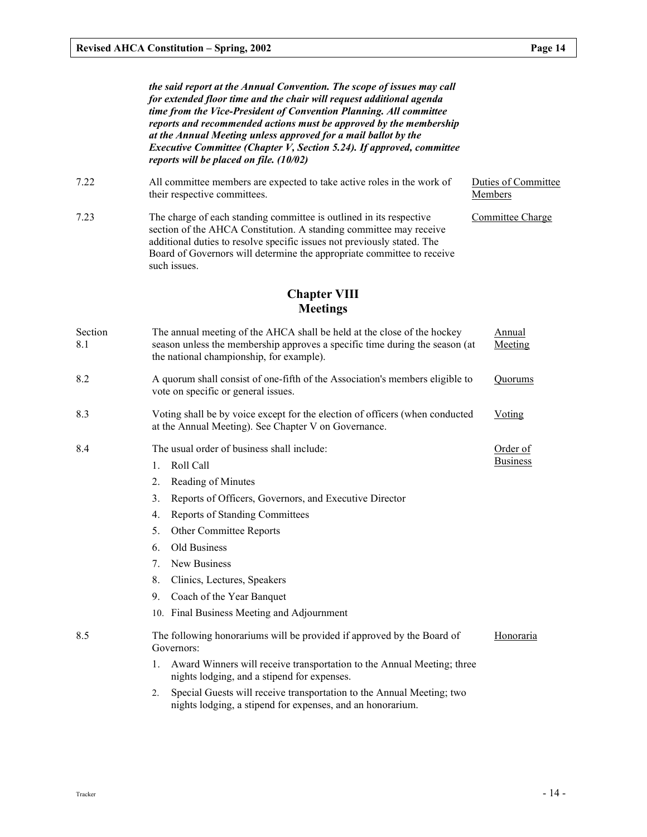|                | the said report at the Annual Convention. The scope of issues may call<br>for extended floor time and the chair will request additional agenda<br>time from the Vice-President of Convention Planning. All committee<br>reports and recommended actions must be approved by the membership<br>at the Annual Meeting unless approved for a mail ballot by the<br>Executive Committee (Chapter V, Section 5.24). If approved, committee<br>reports will be placed on file. (10/02) |                                |
|----------------|----------------------------------------------------------------------------------------------------------------------------------------------------------------------------------------------------------------------------------------------------------------------------------------------------------------------------------------------------------------------------------------------------------------------------------------------------------------------------------|--------------------------------|
| 7.22           | All committee members are expected to take active roles in the work of<br>their respective committees.                                                                                                                                                                                                                                                                                                                                                                           | Duties of Committee<br>Members |
| 7.23           | The charge of each standing committee is outlined in its respective<br>section of the AHCA Constitution. A standing committee may receive<br>additional duties to resolve specific issues not previously stated. The<br>Board of Governors will determine the appropriate committee to receive<br>such issues.                                                                                                                                                                   | Committee Charge               |
|                | <b>Chapter VIII</b>                                                                                                                                                                                                                                                                                                                                                                                                                                                              |                                |
|                | <b>Meetings</b>                                                                                                                                                                                                                                                                                                                                                                                                                                                                  |                                |
| Section<br>8.1 | The annual meeting of the AHCA shall be held at the close of the hockey<br>season unless the membership approves a specific time during the season (at<br>the national championship, for example).                                                                                                                                                                                                                                                                               | Annual<br>Meeting              |
| 8.2            | A quorum shall consist of one-fifth of the Association's members eligible to<br>vote on specific or general issues.                                                                                                                                                                                                                                                                                                                                                              | Quorums                        |
| 8.3            | Voting shall be by voice except for the election of officers (when conducted<br>at the Annual Meeting). See Chapter V on Governance.                                                                                                                                                                                                                                                                                                                                             | Voting                         |
| 8.4            | The usual order of business shall include:<br>Roll Call<br>1.<br>2.<br>Reading of Minutes<br>3.<br>Reports of Officers, Governors, and Executive Director<br><b>Reports of Standing Committees</b><br>4.<br>5.<br>Other Committee Reports<br>Old Business<br>6.<br>New Business<br>7.<br>8.<br>Clinics, Lectures, Speakers                                                                                                                                                       | Order of<br><b>Business</b>    |
|                | 9.<br>Coach of the Year Banquet                                                                                                                                                                                                                                                                                                                                                                                                                                                  |                                |
|                | 10. Final Business Meeting and Adjournment                                                                                                                                                                                                                                                                                                                                                                                                                                       |                                |
| 8.5            | The following honorariums will be provided if approved by the Board of<br>Governors:<br>Award Winners will receive transportation to the Annual Meeting; three<br>1.                                                                                                                                                                                                                                                                                                             | Honoraria                      |
|                | nights lodging, and a stipend for expenses.<br>Special Guests will receive transportation to the Annual Meeting; two<br>2.<br>nights lodging, a stipend for expenses, and an honorarium.                                                                                                                                                                                                                                                                                         |                                |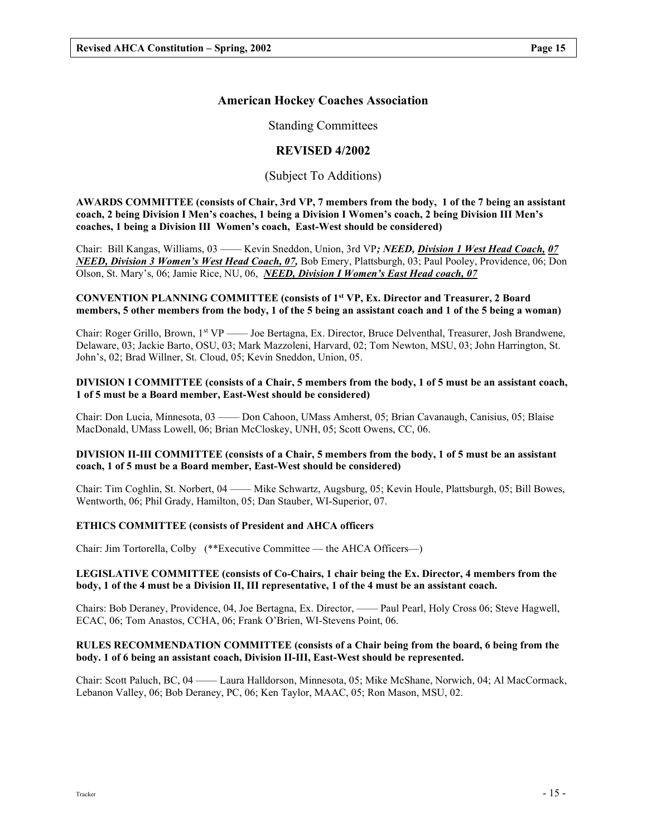## American Hockey Coaches Association

Standing Committees

## REVISED 4/2002

## (Subject To Additions)

AWARDS COMMITTEE (consists of Chair, 3rd VP, 7 members from the body, 1 of the 7 being an assistant coach, 2 being Division I Men's coaches, 1 being a Division I Women's coach, 2 being Division III Men's coaches, 1 being a Division III Women's coach, East-West should be considered)

Chair: Bill Kangas, Williams, 03 —— Kevin Sneddon, Union, 3rd VP; NEED, Division 1 West Head Coach, 07 NEED, Division 3 Women's West Head Coach, 07, Bob Emery, Plattsburgh, 03; Paul Pooley, Providence, 06; Don Olson, St. Mary's, 06; Jamie Rice, NU, 06, NEED, Division I Women's East Head coach, 07

## CONVENTION PLANNING COMMITTEE (consists of 1st VP, Ex. Director and Treasurer, 2 Board members, 5 other members from the body, 1 of the 5 being an assistant coach and 1 of the 5 being a woman)

Chair: Roger Grillo, Brown, 1st VP —— Joe Bertagna, Ex. Director, Bruce Delventhal, Treasurer, Josh Brandwene, Delaware, 03; Jackie Barto, OSU, 03; Mark Mazzoleni, Harvard, 02; Tom Newton, MSU, 03; John Harrington, St. John's, 02; Brad Willner, St. Cloud, 05; Kevin Sneddon, Union, 05.

#### DIVISION I COMMITTEE (consists of a Chair, 5 members from the body, 1 of 5 must be an assistant coach, 1 of 5 must be a Board member, East-West should be considered)

Chair: Don Lucia, Minnesota, 03 —— Don Cahoon, UMass Amherst, 05; Brian Cavanaugh, Canisius, 05; Blaise MacDonald, UMass Lowell, 06; Brian McCloskey, UNH, 05; Scott Owens, CC, 06.

## DIVISION II-III COMMITTEE (consists of a Chair, 5 members from the body, 1 of 5 must be an assistant coach, 1 of 5 must be a Board member, East-West should be considered)

Chair: Tim Coghlin, St. Norbert, 04 —— Mike Schwartz, Augsburg, 05; Kevin Houle, Plattsburgh, 05; Bill Bowes, Wentworth, 06; Phil Grady, Hamilton, 05; Dan Stauber, WI-Superior, 07.

## ETHICS COMMITTEE (consists of President and AHCA officers

Chair: Jim Tortorella, Colby (\*\*Executive Committee — the AHCA Officers—)

## LEGISLATIVE COMMITTEE (consists of Co-Chairs, 1 chair being the Ex. Director, 4 members from the body, 1 of the 4 must be a Division II, III representative, 1 of the 4 must be an assistant coach.

Chairs: Bob Deraney, Providence, 04, Joe Bertagna, Ex. Director, —— Paul Pearl, Holy Cross 06; Steve Hagwell, ECAC, 06; Tom Anastos, CCHA, 06; Frank O'Brien, WI-Stevens Point, 06.

## RULES RECOMMENDATION COMMITTEE (consists of a Chair being from the board, 6 being from the body. 1 of 6 being an assistant coach, Division II-III, East-West should be represented.

Chair: Scott Paluch, BC, 04 —— Laura Halldorson, Minnesota, 05; Mike McShane, Norwich, 04; Al MacCormack, Lebanon Valley, 06; Bob Deraney, PC, 06; Ken Taylor, MAAC, 05; Ron Mason, MSU, 02.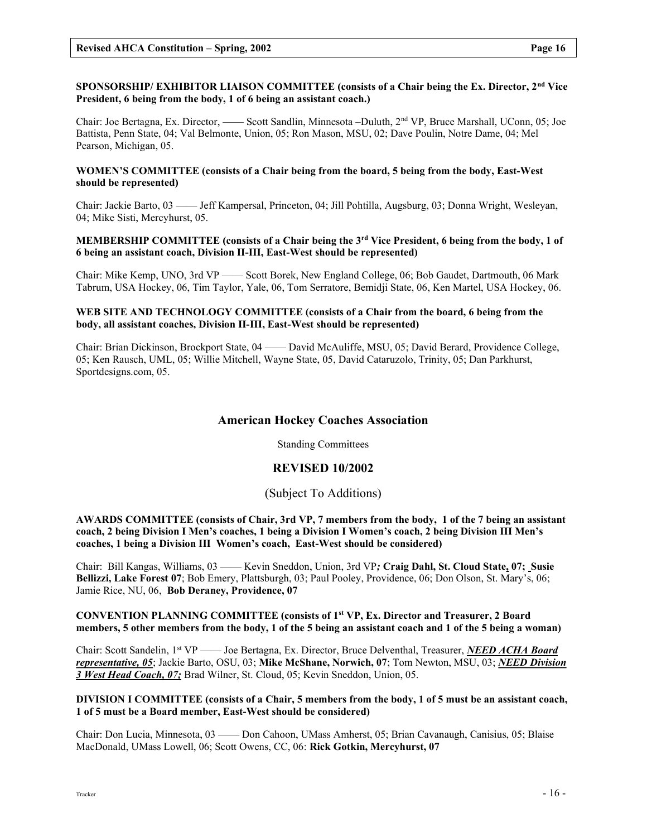## SPONSORSHIP/ EXHIBITOR LIAISON COMMITTEE (consists of a Chair being the Ex. Director, 2<sup>nd</sup> Vice President, 6 being from the body, 1 of 6 being an assistant coach.)

Chair: Joe Bertagna, Ex. Director, —— Scott Sandlin, Minnesota –Duluth, 2nd VP, Bruce Marshall, UConn, 05; Joe Battista, Penn State, 04; Val Belmonte, Union, 05; Ron Mason, MSU, 02; Dave Poulin, Notre Dame, 04; Mel Pearson, Michigan, 05.

## WOMEN'S COMMITTEE (consists of a Chair being from the board, 5 being from the body, East-West should be represented)

Chair: Jackie Barto, 03 —— Jeff Kampersal, Princeton, 04; Jill Pohtilla, Augsburg, 03; Donna Wright, Wesleyan, 04; Mike Sisti, Mercyhurst, 05.

## MEMBERSHIP COMMITTEE (consists of a Chair being the  $3<sup>rd</sup>$  Vice President, 6 being from the body, 1 of 6 being an assistant coach, Division II-III, East-West should be represented)

Chair: Mike Kemp, UNO, 3rd VP —— Scott Borek, New England College, 06; Bob Gaudet, Dartmouth, 06 Mark Tabrum, USA Hockey, 06, Tim Taylor, Yale, 06, Tom Serratore, Bemidji State, 06, Ken Martel, USA Hockey, 06.

## WEB SITE AND TECHNOLOGY COMMITTEE (consists of a Chair from the board, 6 being from the body, all assistant coaches, Division II-III, East-West should be represented)

Chair: Brian Dickinson, Brockport State, 04 —— David McAuliffe, MSU, 05; David Berard, Providence College, 05; Ken Rausch, UML, 05; Willie Mitchell, Wayne State, 05, David Cataruzolo, Trinity, 05; Dan Parkhurst, Sportdesigns.com, 05.

## American Hockey Coaches Association

Standing Committees

## REVISED 10/2002

## (Subject To Additions)

AWARDS COMMITTEE (consists of Chair, 3rd VP, 7 members from the body, 1 of the 7 being an assistant coach, 2 being Division I Men's coaches, 1 being a Division I Women's coach, 2 being Division III Men's coaches, 1 being a Division III Women's coach, East-West should be considered)

Chair: Bill Kangas, Williams, 03 —— Kevin Sneddon, Union, 3rd VP; Craig Dahl, St. Cloud State, 07; Susie Bellizzi, Lake Forest 07; Bob Emery, Plattsburgh, 03; Paul Pooley, Providence, 06; Don Olson, St. Mary's, 06; Jamie Rice, NU, 06, Bob Deraney, Providence, 07

#### CONVENTION PLANNING COMMITTEE (consists of 1<sup>st</sup> VP, Ex. Director and Treasurer, 2 Board members, 5 other members from the body, 1 of the 5 being an assistant coach and 1 of the 5 being a woman)

Chair: Scott Sandelin, 1<sup>st</sup> VP —— Joe Bertagna, Ex. Director, Bruce Delventhal, Treasurer, *NEED ACHA Board* representative, 05; Jackie Barto, OSU, 03; Mike McShane, Norwich, 07; Tom Newton, MSU, 03; NEED Division 3 West Head Coach, 07; Brad Wilner, St. Cloud, 05; Kevin Sneddon, Union, 05.

## DIVISION I COMMITTEE (consists of a Chair, 5 members from the body, 1 of 5 must be an assistant coach, 1 of 5 must be a Board member, East-West should be considered)

Chair: Don Lucia, Minnesota, 03 —— Don Cahoon, UMass Amherst, 05; Brian Cavanaugh, Canisius, 05; Blaise MacDonald, UMass Lowell, 06; Scott Owens, CC, 06: Rick Gotkin, Mercyhurst, 07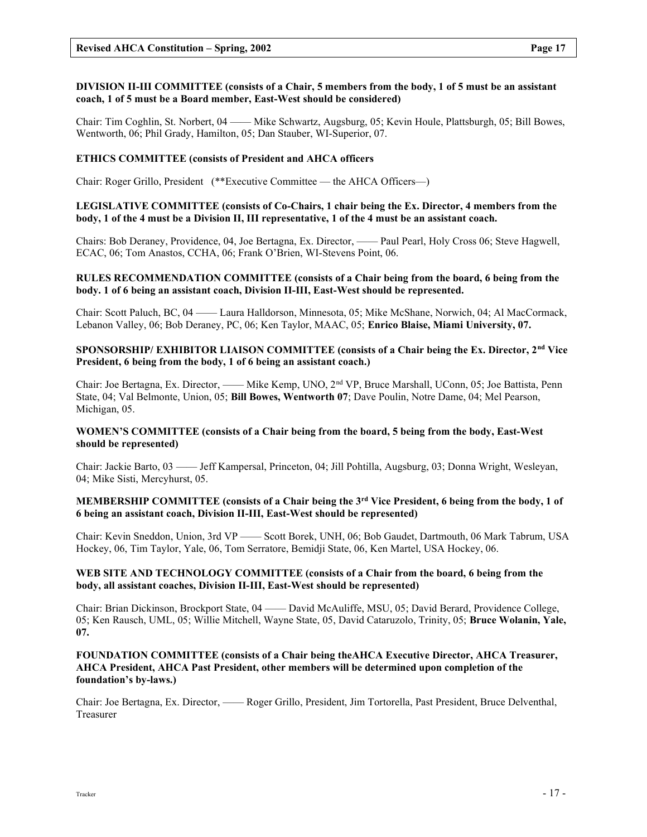## DIVISION II-III COMMITTEE (consists of a Chair, 5 members from the body, 1 of 5 must be an assistant coach, 1 of 5 must be a Board member, East-West should be considered)

Chair: Tim Coghlin, St. Norbert, 04 —— Mike Schwartz, Augsburg, 05; Kevin Houle, Plattsburgh, 05; Bill Bowes, Wentworth, 06; Phil Grady, Hamilton, 05; Dan Stauber, WI-Superior, 07.

#### ETHICS COMMITTEE (consists of President and AHCA officers

Chair: Roger Grillo, President (\*\*Executive Committee — the AHCA Officers—)

## LEGISLATIVE COMMITTEE (consists of Co-Chairs, 1 chair being the Ex. Director, 4 members from the body, 1 of the 4 must be a Division II, III representative, 1 of the 4 must be an assistant coach.

Chairs: Bob Deraney, Providence, 04, Joe Bertagna, Ex. Director, —— Paul Pearl, Holy Cross 06; Steve Hagwell, ECAC, 06; Tom Anastos, CCHA, 06; Frank O'Brien, WI-Stevens Point, 06.

#### RULES RECOMMENDATION COMMITTEE (consists of a Chair being from the board, 6 being from the body. 1 of 6 being an assistant coach, Division II-III, East-West should be represented.

Chair: Scott Paluch, BC, 04 —— Laura Halldorson, Minnesota, 05; Mike McShane, Norwich, 04; Al MacCormack, Lebanon Valley, 06; Bob Deraney, PC, 06; Ken Taylor, MAAC, 05; Enrico Blaise, Miami University, 07.

#### SPONSORSHIP/ EXHIBITOR LIAISON COMMITTEE (consists of a Chair being the Ex. Director, 2<sup>nd</sup> Vice President, 6 being from the body, 1 of 6 being an assistant coach.)

Chair: Joe Bertagna, Ex. Director, —— Mike Kemp, UNO, 2nd VP, Bruce Marshall, UConn, 05; Joe Battista, Penn State, 04; Val Belmonte, Union, 05; Bill Bowes, Wentworth 07; Dave Poulin, Notre Dame, 04; Mel Pearson, Michigan, 05.

## WOMEN'S COMMITTEE (consists of a Chair being from the board, 5 being from the body, East-West should be represented)

Chair: Jackie Barto, 03 —— Jeff Kampersal, Princeton, 04; Jill Pohtilla, Augsburg, 03; Donna Wright, Wesleyan, 04; Mike Sisti, Mercyhurst, 05.

## MEMBERSHIP COMMITTEE (consists of a Chair being the 3<sup>rd</sup> Vice President, 6 being from the body, 1 of 6 being an assistant coach, Division II-III, East-West should be represented)

Chair: Kevin Sneddon, Union, 3rd VP —— Scott Borek, UNH, 06; Bob Gaudet, Dartmouth, 06 Mark Tabrum, USA Hockey, 06, Tim Taylor, Yale, 06, Tom Serratore, Bemidji State, 06, Ken Martel, USA Hockey, 06.

## WEB SITE AND TECHNOLOGY COMMITTEE (consists of a Chair from the board, 6 being from the body, all assistant coaches, Division II-III, East-West should be represented)

Chair: Brian Dickinson, Brockport State, 04 —— David McAuliffe, MSU, 05; David Berard, Providence College, 05; Ken Rausch, UML, 05; Willie Mitchell, Wayne State, 05, David Cataruzolo, Trinity, 05; Bruce Wolanin, Yale, 07.

## FOUNDATION COMMITTEE (consists of a Chair being theAHCA Executive Director, AHCA Treasurer, AHCA President, AHCA Past President, other members will be determined upon completion of the foundation's by-laws.)

Chair: Joe Bertagna, Ex. Director, —— Roger Grillo, President, Jim Tortorella, Past President, Bruce Delventhal, Treasurer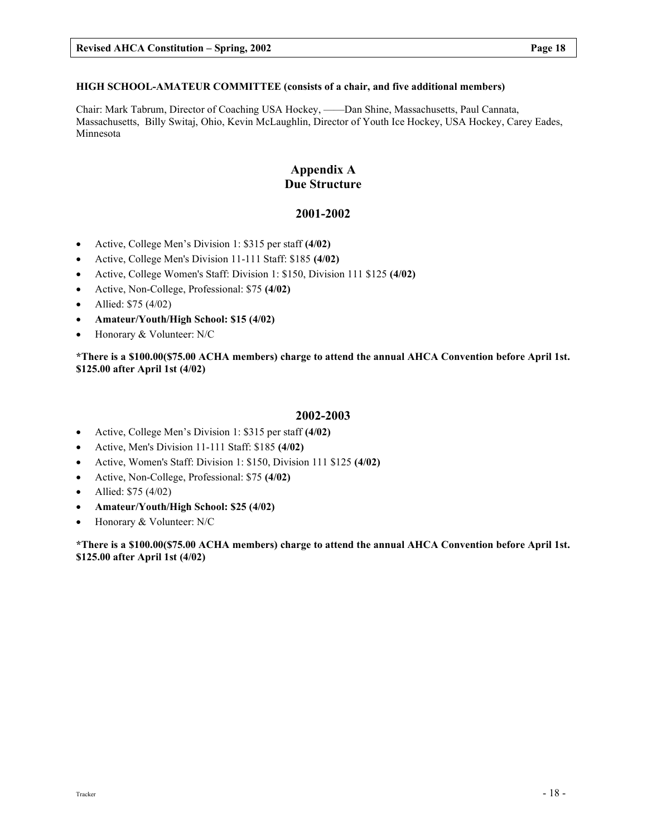## HIGH SCHOOL-AMATEUR COMMITTEE (consists of a chair, and five additional members)

Chair: Mark Tabrum, Director of Coaching USA Hockey, ——Dan Shine, Massachusetts, Paul Cannata, Massachusetts, Billy Switaj, Ohio, Kevin McLaughlin, Director of Youth Ice Hockey, USA Hockey, Carey Eades, Minnesota

## Appendix A Due Structure

## 2001-2002

- Active, College Men's Division 1: \$315 per staff (4/02)
- Active, College Men's Division 11-111 Staff: \$185 (4/02)
- Active, College Women's Staff: Division 1: \$150, Division 111 \$125 (4/02)
- Active, Non-College, Professional: \$75 (4/02)
- Allied:  $$75 (4/02)$
- Amateur/Youth/High School: \$15 (4/02)
- Honorary & Volunteer: N/C

\*There is a \$100.00(\$75.00 ACHA members) charge to attend the annual AHCA Convention before April 1st. \$125.00 after April 1st (4/02)

## 2002-2003

- Active, College Men's Division 1: \$315 per staff (4/02)
- Active, Men's Division 11-111 Staff: \$185 (4/02)
- Active, Women's Staff: Division 1: \$150, Division 111 \$125 (4/02)
- Active, Non-College, Professional: \$75 (4/02)
- Allied:  $$75 (4/02)$
- Amateur/Youth/High School: \$25 (4/02)
- Honorary & Volunteer: N/C

\*There is a \$100.00(\$75.00 ACHA members) charge to attend the annual AHCA Convention before April 1st. \$125.00 after April 1st (4/02)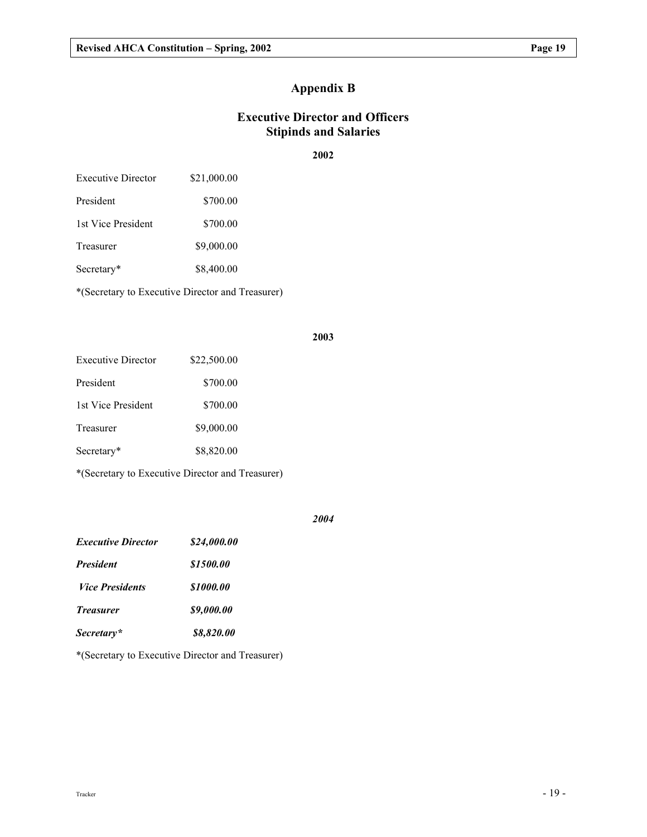# Appendix B

# Executive Director and Officers Stipinds and Salaries

## 2002

| Executive Director | \$21,000.00 |
|--------------------|-------------|
| President          | \$700.00    |

1st Vice President \$700.00

Treasurer \$9,000.00

Secretary\* \$8,400.00

\*(Secretary to Executive Director and Treasurer)

## 2003

| \$22,500.00 |
|-------------|
| \$700.00    |
| \$700.00    |
| \$9,000.00  |
| \$8,820.00  |
|             |

\*(Secretary to Executive Director and Treasurer)

## 2004

| <b>Executive Director</b> | \$24.000.00 |
|---------------------------|-------------|
| <b>President</b>          | \$1500.00   |
| <i>Vice Presidents</i>    | \$1000.00   |
| <b>Treasurer</b>          | \$9,000.00  |
| Secretary*                | \$8,820.00  |

\*(Secretary to Executive Director and Treasurer)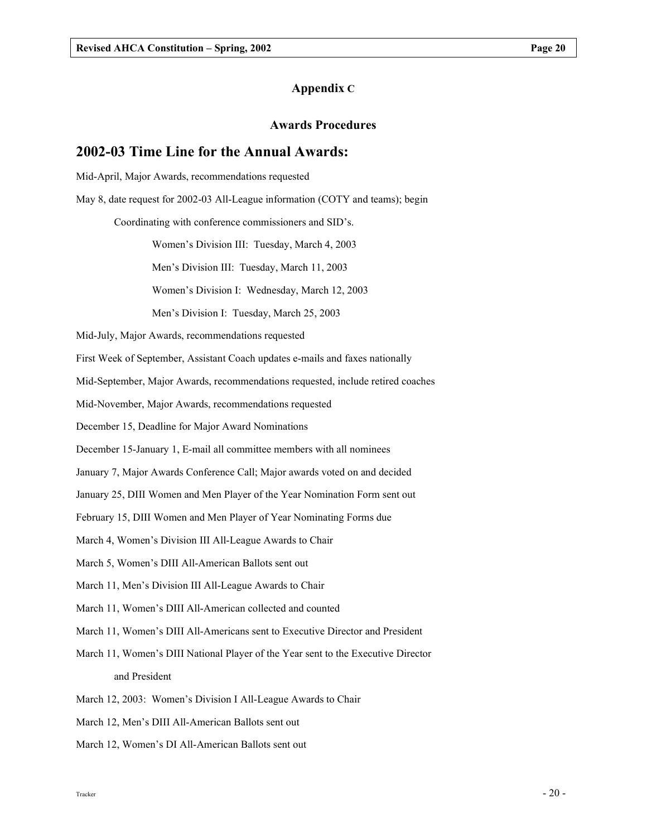## Awards Procedures

## 2002-03 Time Line for the Annual Awards:

Mid-April, Major Awards, recommendations requested

May 8, date request for 2002-03 All-League information (COTY and teams); begin

Coordinating with conference commissioners and SID's.

Women's Division III: Tuesday, March 4, 2003

Men's Division III: Tuesday, March 11, 2003

Women's Division I: Wednesday, March 12, 2003

Men's Division I: Tuesday, March 25, 2003

Mid-July, Major Awards, recommendations requested

First Week of September, Assistant Coach updates e-mails and faxes nationally

Mid-September, Major Awards, recommendations requested, include retired coaches

Mid-November, Major Awards, recommendations requested

December 15, Deadline for Major Award Nominations

December 15-January 1, E-mail all committee members with all nominees

January 7, Major Awards Conference Call; Major awards voted on and decided

January 25, DIII Women and Men Player of the Year Nomination Form sent out

February 15, DIII Women and Men Player of Year Nominating Forms due

March 4, Women's Division III All-League Awards to Chair

March 5, Women's DIII All-American Ballots sent out

March 11, Men's Division III All-League Awards to Chair

March 11, Women's DIII All-American collected and counted

March 11, Women's DIII All-Americans sent to Executive Director and President

March 11, Women's DIII National Player of the Year sent to the Executive Director and President

March 12, 2003: Women's Division I All-League Awards to Chair

March 12, Men's DIII All-American Ballots sent out

March 12, Women's DI All-American Ballots sent out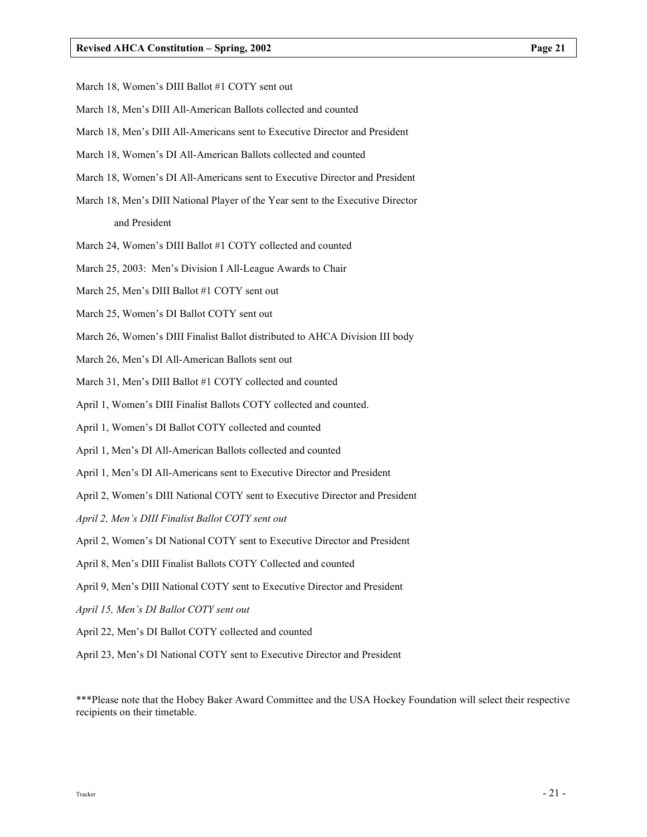- March 18, Women's DIII Ballot #1 COTY sent out
- March 18, Men's DIII All-American Ballots collected and counted
- March 18, Men's DIII All-Americans sent to Executive Director and President
- March 18, Women's DI All-American Ballots collected and counted
- March 18, Women's DI All-Americans sent to Executive Director and President
- March 18, Men's DIII National Player of the Year sent to the Executive Director and President
- March 24, Women's DIII Ballot #1 COTY collected and counted
- March 25, 2003: Men's Division I All-League Awards to Chair
- March 25, Men's DIII Ballot #1 COTY sent out
- March 25, Women's DI Ballot COTY sent out
- March 26, Women's DIII Finalist Ballot distributed to AHCA Division III body
- March 26, Men's DI All-American Ballots sent out
- March 31, Men's DIII Ballot #1 COTY collected and counted
- April 1, Women's DIII Finalist Ballots COTY collected and counted.
- April 1, Women's DI Ballot COTY collected and counted
- April 1, Men's DI All-American Ballots collected and counted
- April 1, Men's DI All-Americans sent to Executive Director and President
- April 2, Women's DIII National COTY sent to Executive Director and President
- April 2, Men's DIII Finalist Ballot COTY sent out
- April 2, Women's DI National COTY sent to Executive Director and President
- April 8, Men's DIII Finalist Ballots COTY Collected and counted
- April 9, Men's DIII National COTY sent to Executive Director and President
- April 15, Men's DI Ballot COTY sent out
- April 22, Men's DI Ballot COTY collected and counted
- April 23, Men's DI National COTY sent to Executive Director and President

\*\*\*Please note that the Hobey Baker Award Committee and the USA Hockey Foundation will select their respective recipients on their timetable.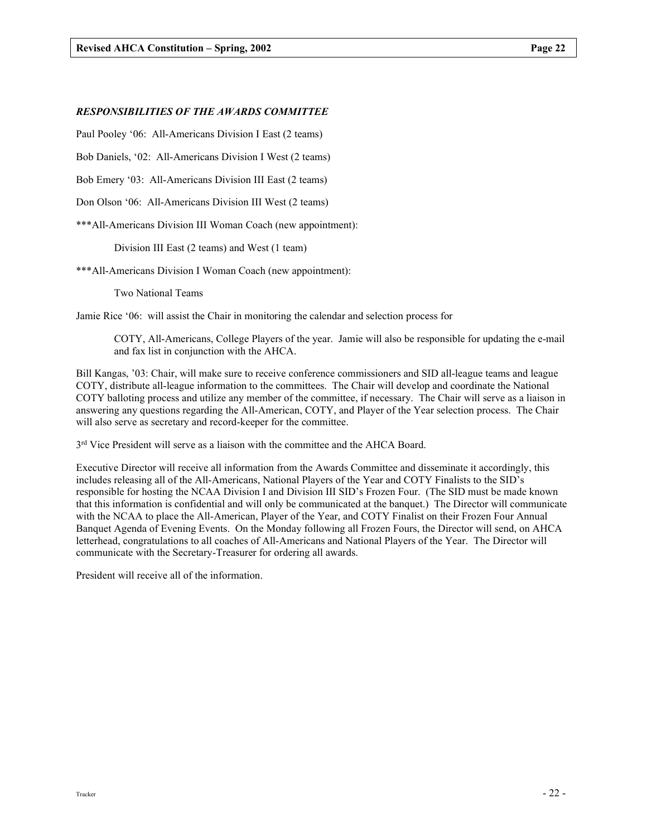#### RESPONSIBILITIES OF THE AWARDS COMMITTEE

Paul Pooley '06: All-Americans Division I East (2 teams)

Bob Daniels, '02: All-Americans Division I West (2 teams)

Bob Emery '03: All-Americans Division III East (2 teams)

Don Olson '06: All-Americans Division III West (2 teams)

\*\*\*All-Americans Division III Woman Coach (new appointment):

Division III East (2 teams) and West (1 team)

\*\*\*All-Americans Division I Woman Coach (new appointment):

Two National Teams

Jamie Rice '06: will assist the Chair in monitoring the calendar and selection process for

COTY, All-Americans, College Players of the year. Jamie will also be responsible for updating the e-mail and fax list in conjunction with the AHCA.

Bill Kangas, '03: Chair, will make sure to receive conference commissioners and SID all-league teams and league COTY, distribute all-league information to the committees. The Chair will develop and coordinate the National COTY balloting process and utilize any member of the committee, if necessary. The Chair will serve as a liaison in answering any questions regarding the All-American, COTY, and Player of the Year selection process. The Chair will also serve as secretary and record-keeper for the committee.

3<sup>rd</sup> Vice President will serve as a liaison with the committee and the AHCA Board.

Executive Director will receive all information from the Awards Committee and disseminate it accordingly, this includes releasing all of the All-Americans, National Players of the Year and COTY Finalists to the SID's responsible for hosting the NCAA Division I and Division III SID's Frozen Four. (The SID must be made known that this information is confidential and will only be communicated at the banquet.) The Director will communicate with the NCAA to place the All-American, Player of the Year, and COTY Finalist on their Frozen Four Annual Banquet Agenda of Evening Events. On the Monday following all Frozen Fours, the Director will send, on AHCA letterhead, congratulations to all coaches of All-Americans and National Players of the Year. The Director will communicate with the Secretary-Treasurer for ordering all awards.

President will receive all of the information.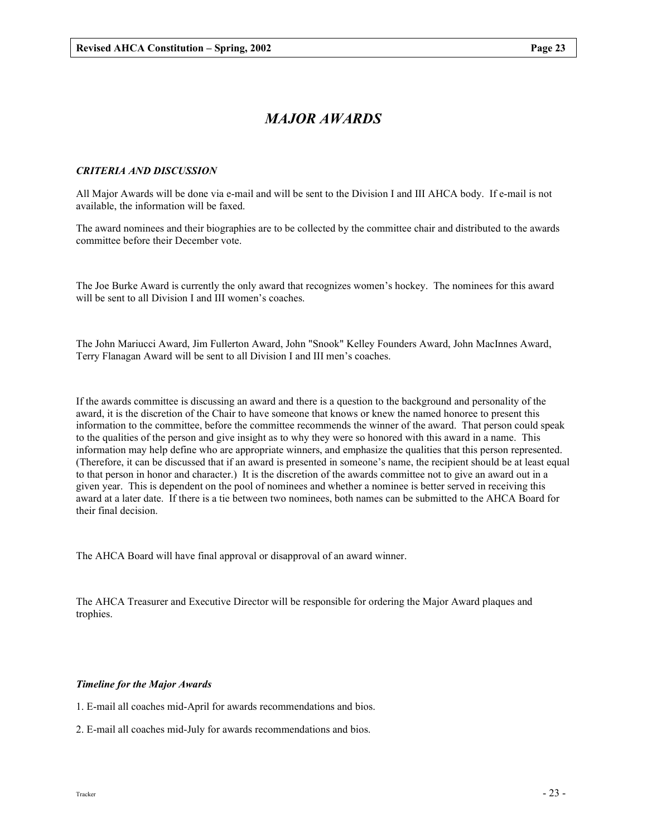# MAJOR AWARDS

## CRITERIA AND DISCUSSION

All Major Awards will be done via e-mail and will be sent to the Division I and III AHCA body. If e-mail is not available, the information will be faxed.

The award nominees and their biographies are to be collected by the committee chair and distributed to the awards committee before their December vote.

The Joe Burke Award is currently the only award that recognizes women's hockey. The nominees for this award will be sent to all Division I and III women's coaches.

The John Mariucci Award, Jim Fullerton Award, John "Snook" Kelley Founders Award, John MacInnes Award, Terry Flanagan Award will be sent to all Division I and III men's coaches.

If the awards committee is discussing an award and there is a question to the background and personality of the award, it is the discretion of the Chair to have someone that knows or knew the named honoree to present this information to the committee, before the committee recommends the winner of the award. That person could speak to the qualities of the person and give insight as to why they were so honored with this award in a name. This information may help define who are appropriate winners, and emphasize the qualities that this person represented. (Therefore, it can be discussed that if an award is presented in someone's name, the recipient should be at least equal to that person in honor and character.) It is the discretion of the awards committee not to give an award out in a given year. This is dependent on the pool of nominees and whether a nominee is better served in receiving this award at a later date. If there is a tie between two nominees, both names can be submitted to the AHCA Board for their final decision.

The AHCA Board will have final approval or disapproval of an award winner.

The AHCA Treasurer and Executive Director will be responsible for ordering the Major Award plaques and trophies.

#### Timeline for the Major Awards

- 1. E-mail all coaches mid-April for awards recommendations and bios.
- 2. E-mail all coaches mid-July for awards recommendations and bios.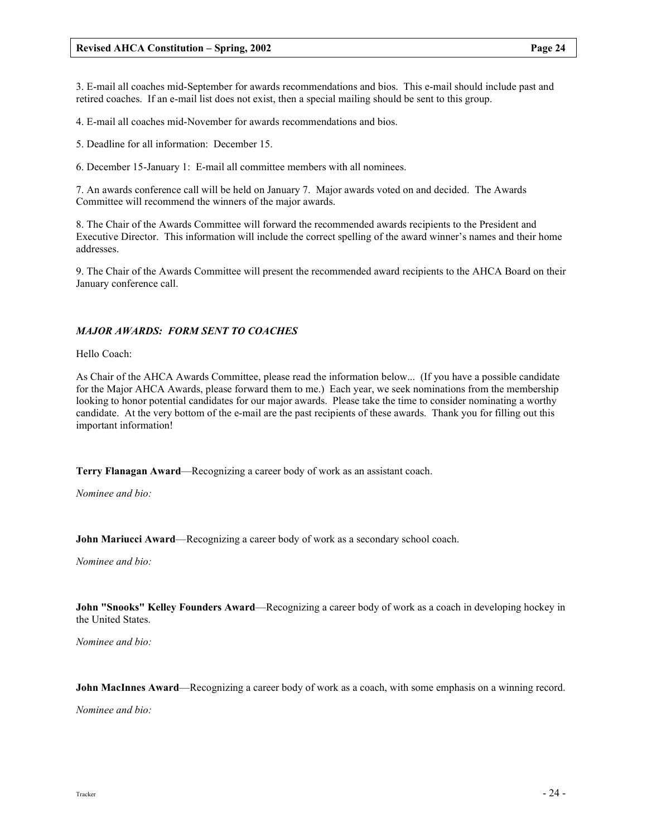3. E-mail all coaches mid-September for awards recommendations and bios. This e-mail should include past and retired coaches. If an e-mail list does not exist, then a special mailing should be sent to this group.

4. E-mail all coaches mid-November for awards recommendations and bios.

5. Deadline for all information: December 15.

6. December 15-January 1: E-mail all committee members with all nominees.

7. An awards conference call will be held on January 7. Major awards voted on and decided. The Awards Committee will recommend the winners of the major awards.

8. The Chair of the Awards Committee will forward the recommended awards recipients to the President and Executive Director. This information will include the correct spelling of the award winner's names and their home addresses.

9. The Chair of the Awards Committee will present the recommended award recipients to the AHCA Board on their January conference call.

## MAJOR AWARDS: FORM SENT TO COACHES

Hello Coach:

As Chair of the AHCA Awards Committee, please read the information below... (If you have a possible candidate for the Major AHCA Awards, please forward them to me.) Each year, we seek nominations from the membership looking to honor potential candidates for our major awards. Please take the time to consider nominating a worthy candidate. At the very bottom of the e-mail are the past recipients of these awards. Thank you for filling out this important information!

Terry Flanagan Award—Recognizing a career body of work as an assistant coach.

Nominee and bio:

John Mariucci Award—Recognizing a career body of work as a secondary school coach.

Nominee and bio:

John "Snooks" Kelley Founders Award—Recognizing a career body of work as a coach in developing hockey in the United States.

Nominee and bio:

John MacInnes Award—Recognizing a career body of work as a coach, with some emphasis on a winning record.

Nominee and bio: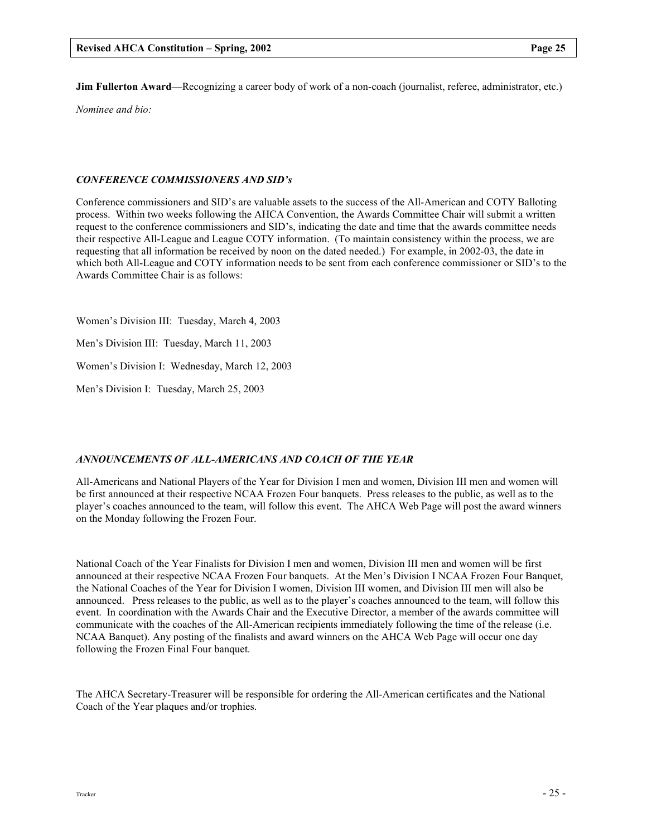Jim Fullerton Award—Recognizing a career body of work of a non-coach (journalist, referee, administrator, etc.)

Nominee and bio:

## CONFERENCE COMMISSIONERS AND SID's

Conference commissioners and SID's are valuable assets to the success of the All-American and COTY Balloting process. Within two weeks following the AHCA Convention, the Awards Committee Chair will submit a written request to the conference commissioners and SID's, indicating the date and time that the awards committee needs their respective All-League and League COTY information. (To maintain consistency within the process, we are requesting that all information be received by noon on the dated needed.) For example, in 2002-03, the date in which both All-League and COTY information needs to be sent from each conference commissioner or SID's to the Awards Committee Chair is as follows:

Women's Division III: Tuesday, March 4, 2003

Men's Division III: Tuesday, March 11, 2003

Women's Division I: Wednesday, March 12, 2003

Men's Division I: Tuesday, March 25, 2003

## ANNOUNCEMENTS OF ALL-AMERICANS AND COACH OF THE YEAR

All-Americans and National Players of the Year for Division I men and women, Division III men and women will be first announced at their respective NCAA Frozen Four banquets. Press releases to the public, as well as to the player's coaches announced to the team, will follow this event. The AHCA Web Page will post the award winners on the Monday following the Frozen Four.

National Coach of the Year Finalists for Division I men and women, Division III men and women will be first announced at their respective NCAA Frozen Four banquets. At the Men's Division I NCAA Frozen Four Banquet, the National Coaches of the Year for Division I women, Division III women, and Division III men will also be announced. Press releases to the public, as well as to the player's coaches announced to the team, will follow this event. In coordination with the Awards Chair and the Executive Director, a member of the awards committee will communicate with the coaches of the All-American recipients immediately following the time of the release (i.e. NCAA Banquet). Any posting of the finalists and award winners on the AHCA Web Page will occur one day following the Frozen Final Four banquet.

The AHCA Secretary-Treasurer will be responsible for ordering the All-American certificates and the National Coach of the Year plaques and/or trophies.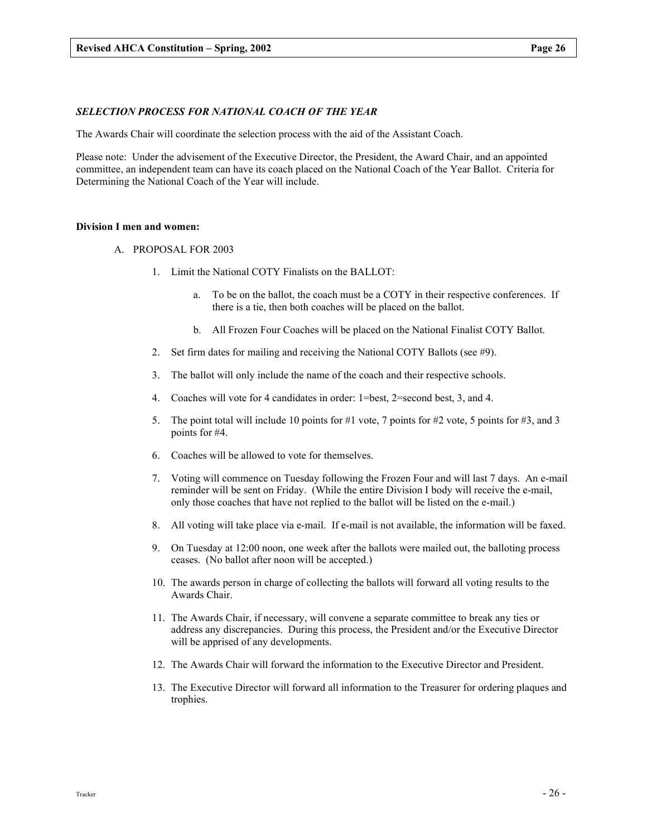## SELECTION PROCESS FOR NATIONAL COACH OF THE YEAR

The Awards Chair will coordinate the selection process with the aid of the Assistant Coach.

Please note: Under the advisement of the Executive Director, the President, the Award Chair, and an appointed committee, an independent team can have its coach placed on the National Coach of the Year Ballot. Criteria for Determining the National Coach of the Year will include.

#### Division I men and women:

- A. PROPOSAL FOR 2003
	- 1. Limit the National COTY Finalists on the BALLOT:
		- a. To be on the ballot, the coach must be a COTY in their respective conferences. If there is a tie, then both coaches will be placed on the ballot.
		- b. All Frozen Four Coaches will be placed on the National Finalist COTY Ballot.
	- 2. Set firm dates for mailing and receiving the National COTY Ballots (see #9).
	- 3. The ballot will only include the name of the coach and their respective schools.
	- 4. Coaches will vote for 4 candidates in order: 1=best, 2=second best, 3, and 4.
	- 5. The point total will include 10 points for #1 vote, 7 points for #2 vote, 5 points for #3, and 3 points for #4.
	- 6. Coaches will be allowed to vote for themselves.
	- 7. Voting will commence on Tuesday following the Frozen Four and will last 7 days. An e-mail reminder will be sent on Friday. (While the entire Division I body will receive the e-mail, only those coaches that have not replied to the ballot will be listed on the e-mail.)
	- 8. All voting will take place via e-mail. If e-mail is not available, the information will be faxed.
	- 9. On Tuesday at 12:00 noon, one week after the ballots were mailed out, the balloting process ceases. (No ballot after noon will be accepted.)
	- 10. The awards person in charge of collecting the ballots will forward all voting results to the Awards Chair.
	- 11. The Awards Chair, if necessary, will convene a separate committee to break any ties or address any discrepancies. During this process, the President and/or the Executive Director will be apprised of any developments.
	- 12. The Awards Chair will forward the information to the Executive Director and President.
	- 13. The Executive Director will forward all information to the Treasurer for ordering plaques and trophies.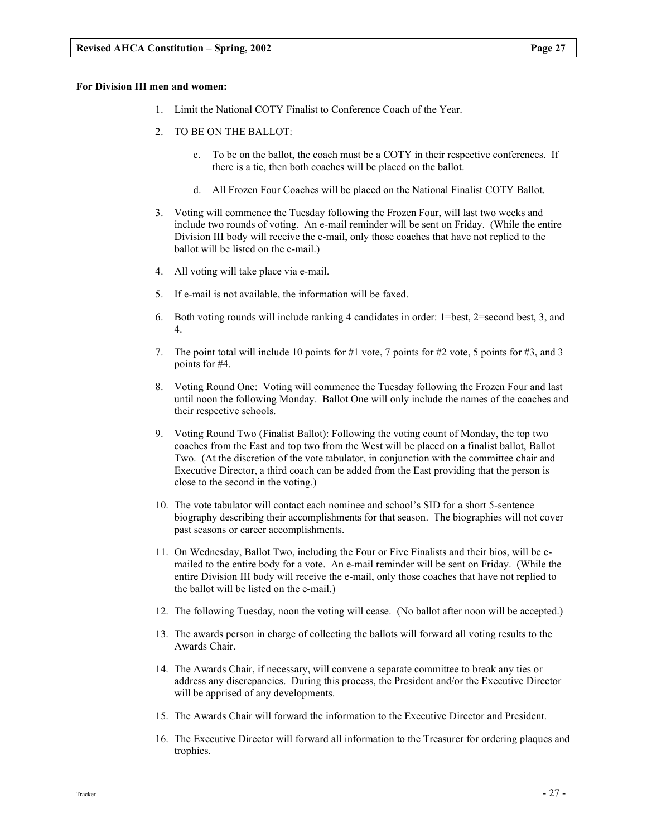- 1. Limit the National COTY Finalist to Conference Coach of the Year.
- 2. TO BE ON THE BALLOT:
	- c. To be on the ballot, the coach must be a COTY in their respective conferences. If there is a tie, then both coaches will be placed on the ballot.
	- d. All Frozen Four Coaches will be placed on the National Finalist COTY Ballot.
- 3. Voting will commence the Tuesday following the Frozen Four, will last two weeks and include two rounds of voting. An e-mail reminder will be sent on Friday. (While the entire Division III body will receive the e-mail, only those coaches that have not replied to the ballot will be listed on the e-mail.)
- 4. All voting will take place via e-mail.
- 5. If e-mail is not available, the information will be faxed.
- 6. Both voting rounds will include ranking 4 candidates in order: 1=best, 2=second best, 3, and 4.
- 7. The point total will include 10 points for #1 vote, 7 points for #2 vote, 5 points for #3, and 3 points for #4.
- 8. Voting Round One: Voting will commence the Tuesday following the Frozen Four and last until noon the following Monday. Ballot One will only include the names of the coaches and their respective schools.
- 9. Voting Round Two (Finalist Ballot): Following the voting count of Monday, the top two coaches from the East and top two from the West will be placed on a finalist ballot, Ballot Two. (At the discretion of the vote tabulator, in conjunction with the committee chair and Executive Director, a third coach can be added from the East providing that the person is close to the second in the voting.)
- 10. The vote tabulator will contact each nominee and school's SID for a short 5-sentence biography describing their accomplishments for that season. The biographies will not cover past seasons or career accomplishments.
- 11. On Wednesday, Ballot Two, including the Four or Five Finalists and their bios, will be emailed to the entire body for a vote. An e-mail reminder will be sent on Friday. (While the entire Division III body will receive the e-mail, only those coaches that have not replied to the ballot will be listed on the e-mail.)
- 12. The following Tuesday, noon the voting will cease. (No ballot after noon will be accepted.)
- 13. The awards person in charge of collecting the ballots will forward all voting results to the Awards Chair.
- 14. The Awards Chair, if necessary, will convene a separate committee to break any ties or address any discrepancies. During this process, the President and/or the Executive Director will be apprised of any developments.
- 15. The Awards Chair will forward the information to the Executive Director and President.
- 16. The Executive Director will forward all information to the Treasurer for ordering plaques and trophies.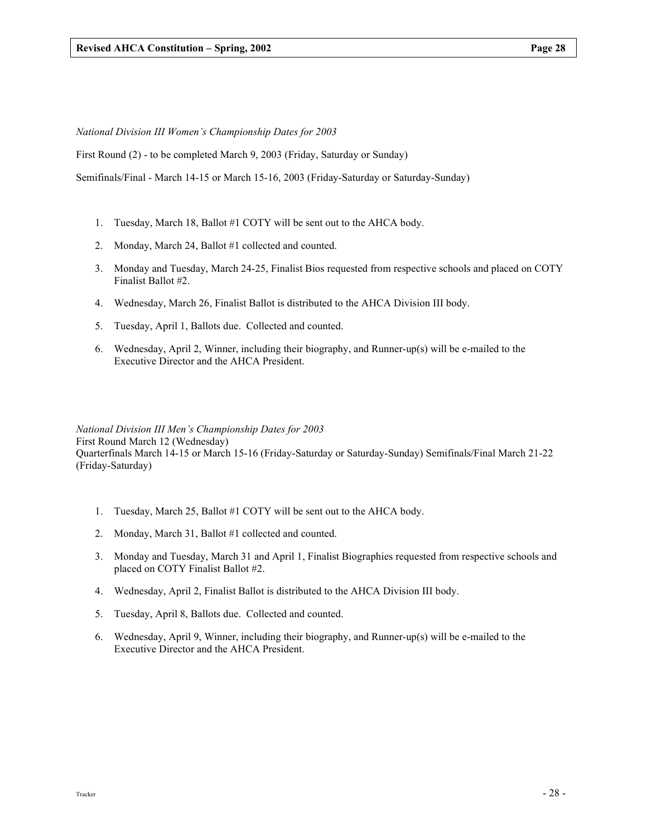National Division III Women's Championship Dates for 2003

First Round (2) - to be completed March 9, 2003 (Friday, Saturday or Sunday)

Semifinals/Final - March 14-15 or March 15-16, 2003 (Friday-Saturday or Saturday-Sunday)

- 1. Tuesday, March 18, Ballot #1 COTY will be sent out to the AHCA body.
- 2. Monday, March 24, Ballot #1 collected and counted.
- 3. Monday and Tuesday, March 24-25, Finalist Bios requested from respective schools and placed on COTY Finalist Ballot #2.
- 4. Wednesday, March 26, Finalist Ballot is distributed to the AHCA Division III body.
- 5. Tuesday, April 1, Ballots due. Collected and counted.
- 6. Wednesday, April 2, Winner, including their biography, and Runner-up(s) will be e-mailed to the Executive Director and the AHCA President.

National Division III Men's Championship Dates for 2003 First Round March 12 (Wednesday) Quarterfinals March 14-15 or March 15-16 (Friday-Saturday or Saturday-Sunday) Semifinals/Final March 21-22 (Friday-Saturday)

- 1. Tuesday, March 25, Ballot #1 COTY will be sent out to the AHCA body.
- 2. Monday, March 31, Ballot #1 collected and counted.
- 3. Monday and Tuesday, March 31 and April 1, Finalist Biographies requested from respective schools and placed on COTY Finalist Ballot #2.
- 4. Wednesday, April 2, Finalist Ballot is distributed to the AHCA Division III body.
- 5. Tuesday, April 8, Ballots due. Collected and counted.
- 6. Wednesday, April 9, Winner, including their biography, and Runner-up(s) will be e-mailed to the Executive Director and the AHCA President.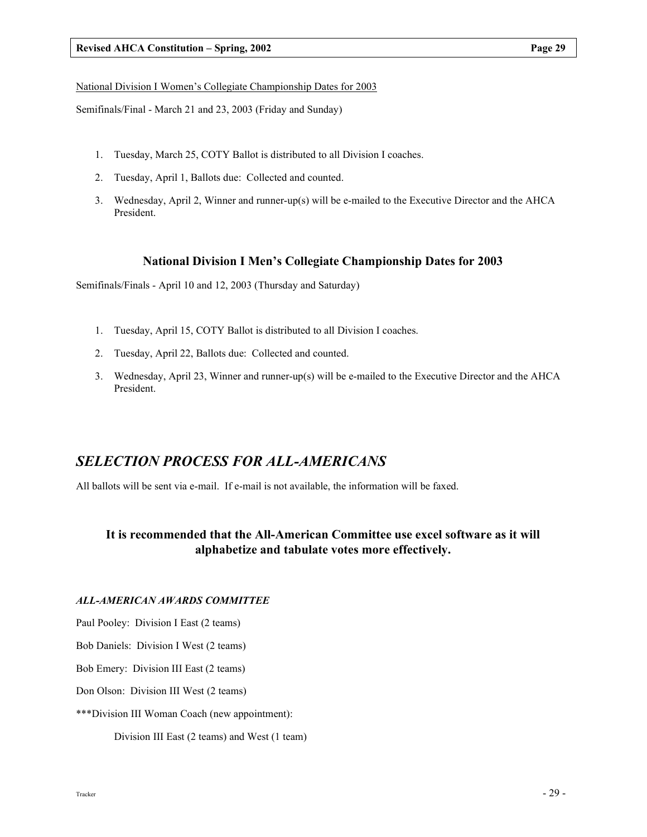#### National Division I Women's Collegiate Championship Dates for 2003

Semifinals/Final - March 21 and 23, 2003 (Friday and Sunday)

- 1. Tuesday, March 25, COTY Ballot is distributed to all Division I coaches.
- 2. Tuesday, April 1, Ballots due: Collected and counted.
- 3. Wednesday, April 2, Winner and runner-up(s) will be e-mailed to the Executive Director and the AHCA President.

## National Division I Men's Collegiate Championship Dates for 2003

Semifinals/Finals - April 10 and 12, 2003 (Thursday and Saturday)

- 1. Tuesday, April 15, COTY Ballot is distributed to all Division I coaches.
- 2. Tuesday, April 22, Ballots due: Collected and counted.
- 3. Wednesday, April 23, Winner and runner-up(s) will be e-mailed to the Executive Director and the AHCA President.

## SELECTION PROCESS FOR ALL-AMERICANS

All ballots will be sent via e-mail. If e-mail is not available, the information will be faxed.

## It is recommended that the All-American Committee use excel software as it will alphabetize and tabulate votes more effectively.

## ALL-AMERICAN AWARDS COMMITTEE

Paul Pooley: Division I East (2 teams)

Bob Daniels: Division I West (2 teams)

Bob Emery: Division III East (2 teams)

Don Olson: Division III West (2 teams)

\*\*\*Division III Woman Coach (new appointment):

Division III East (2 teams) and West (1 team)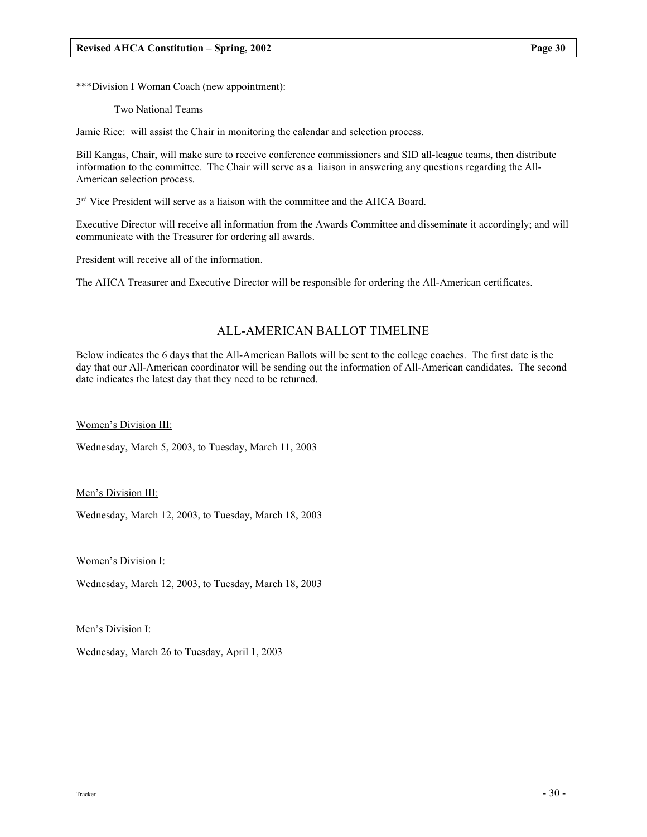\*\*\*Division I Woman Coach (new appointment):

Two National Teams

Jamie Rice: will assist the Chair in monitoring the calendar and selection process.

Bill Kangas, Chair, will make sure to receive conference commissioners and SID all-league teams, then distribute information to the committee. The Chair will serve as a liaison in answering any questions regarding the All-American selection process.

3<sup>rd</sup> Vice President will serve as a liaison with the committee and the AHCA Board.

Executive Director will receive all information from the Awards Committee and disseminate it accordingly; and will communicate with the Treasurer for ordering all awards.

President will receive all of the information.

The AHCA Treasurer and Executive Director will be responsible for ordering the All-American certificates.

## ALL-AMERICAN BALLOT TIMELINE

Below indicates the 6 days that the All-American Ballots will be sent to the college coaches. The first date is the day that our All-American coordinator will be sending out the information of All-American candidates. The second date indicates the latest day that they need to be returned.

Women's Division III:

Wednesday, March 5, 2003, to Tuesday, March 11, 2003

Men's Division III:

Wednesday, March 12, 2003, to Tuesday, March 18, 2003

Women's Division I:

Wednesday, March 12, 2003, to Tuesday, March 18, 2003

Men's Division I:

Wednesday, March 26 to Tuesday, April 1, 2003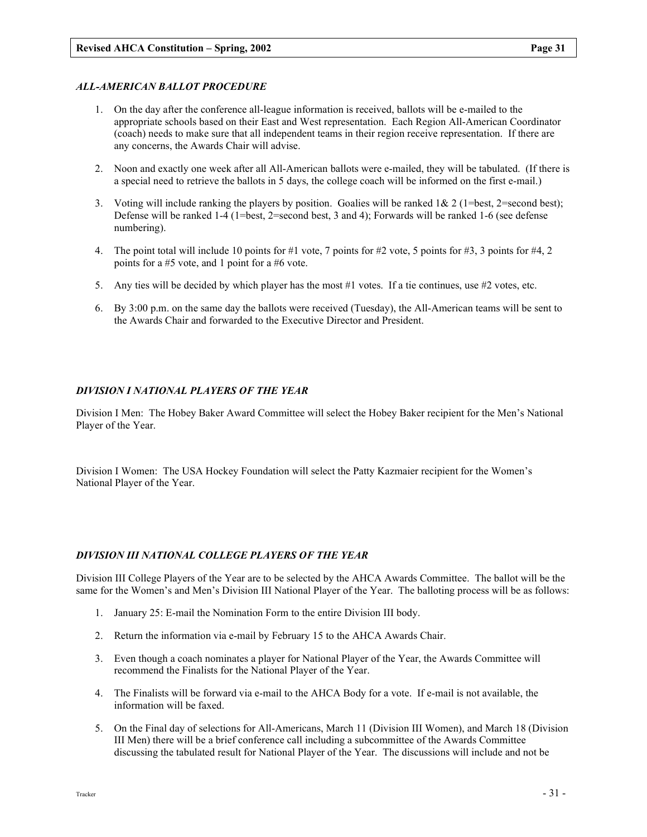## ALL-AMERICAN BALLOT PROCEDURE

- 1. On the day after the conference all-league information is received, ballots will be e-mailed to the appropriate schools based on their East and West representation. Each Region All-American Coordinator (coach) needs to make sure that all independent teams in their region receive representation. If there are any concerns, the Awards Chair will advise.
- 2. Noon and exactly one week after all All-American ballots were e-mailed, they will be tabulated. (If there is a special need to retrieve the ballots in 5 days, the college coach will be informed on the first e-mail.)
- 3. Voting will include ranking the players by position. Goalies will be ranked  $1& 2$  (1=best, 2=second best); Defense will be ranked 1-4 (1=best, 2=second best, 3 and 4); Forwards will be ranked 1-6 (see defense numbering).
- 4. The point total will include 10 points for #1 vote, 7 points for #2 vote, 5 points for #3, 3 points for #4, 2 points for a #5 vote, and 1 point for a #6 vote.
- 5. Any ties will be decided by which player has the most #1 votes. If a tie continues, use #2 votes, etc.
- 6. By 3:00 p.m. on the same day the ballots were received (Tuesday), the All-American teams will be sent to the Awards Chair and forwarded to the Executive Director and President.

## DIVISION I NATIONAL PLAYERS OF THE YEAR

Division I Men: The Hobey Baker Award Committee will select the Hobey Baker recipient for the Men's National Player of the Year.

Division I Women: The USA Hockey Foundation will select the Patty Kazmaier recipient for the Women's National Player of the Year.

## DIVISION III NATIONAL COLLEGE PLAYERS OF THE YEAR

Division III College Players of the Year are to be selected by the AHCA Awards Committee. The ballot will be the same for the Women's and Men's Division III National Player of the Year. The balloting process will be as follows:

- 1. January 25: E-mail the Nomination Form to the entire Division III body.
- 2. Return the information via e-mail by February 15 to the AHCA Awards Chair.
- 3. Even though a coach nominates a player for National Player of the Year, the Awards Committee will recommend the Finalists for the National Player of the Year.
- 4. The Finalists will be forward via e-mail to the AHCA Body for a vote. If e-mail is not available, the information will be faxed.
- 5. On the Final day of selections for All-Americans, March 11 (Division III Women), and March 18 (Division III Men) there will be a brief conference call including a subcommittee of the Awards Committee discussing the tabulated result for National Player of the Year. The discussions will include and not be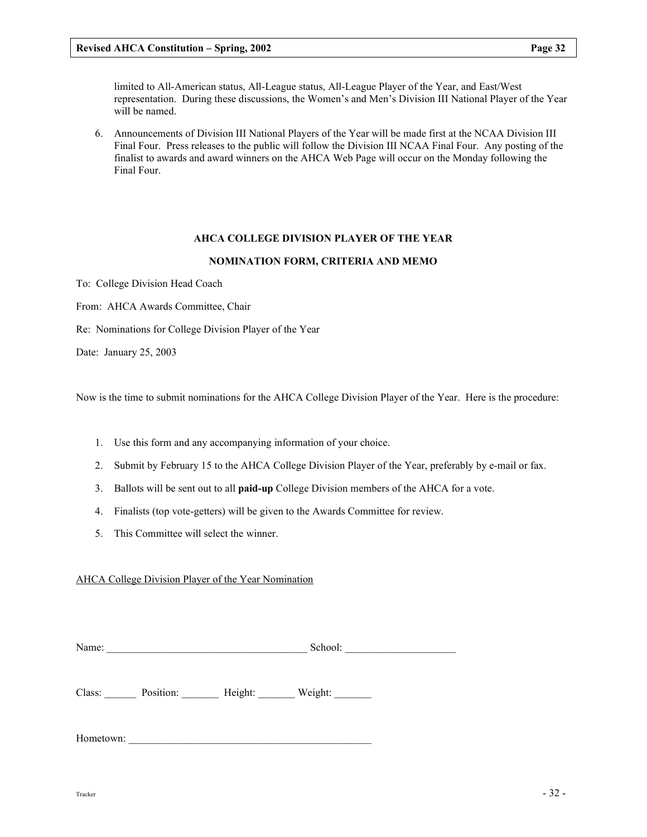6. Announcements of Division III National Players of the Year will be made first at the NCAA Division III Final Four. Press releases to the public will follow the Division III NCAA Final Four. Any posting of the finalist to awards and award winners on the AHCA Web Page will occur on the Monday following the Final Four.

## AHCA COLLEGE DIVISION PLAYER OF THE YEAR

#### NOMINATION FORM, CRITERIA AND MEMO

To: College Division Head Coach

will be named.

From: AHCA Awards Committee, Chair

Re: Nominations for College Division Player of the Year

Date: January 25, 2003

Now is the time to submit nominations for the AHCA College Division Player of the Year. Here is the procedure:

- 1. Use this form and any accompanying information of your choice.
- 2. Submit by February 15 to the AHCA College Division Player of the Year, preferably by e-mail or fax.
- 3. Ballots will be sent out to all paid-up College Division members of the AHCA for a vote.
- 4. Finalists (top vote-getters) will be given to the Awards Committee for review.
- 5. This Committee will select the winner.

#### AHCA College Division Player of the Year Nomination

Class: Position: Height: Weight:

Hometown: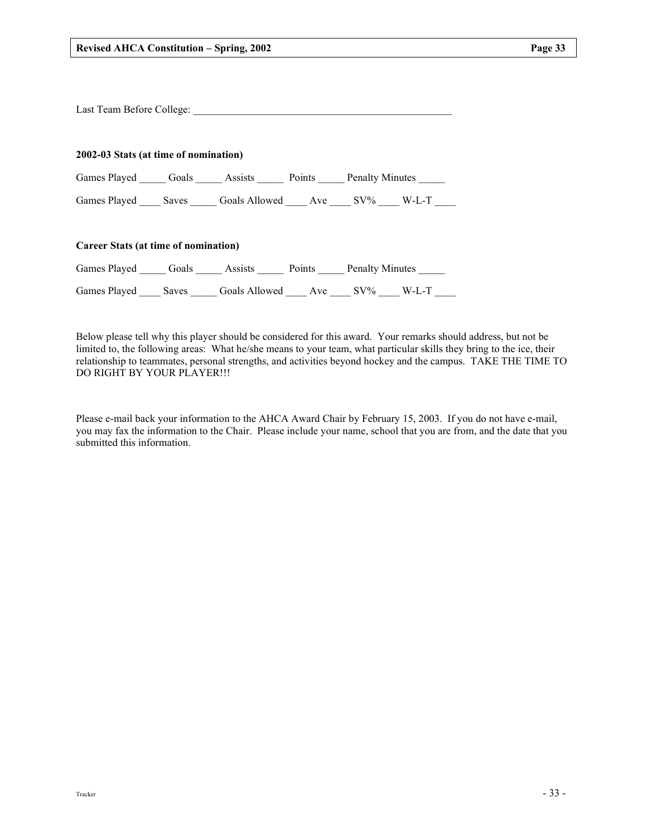|                                       | Last Team Before College: 2008 2009 2010 2010 2010 2010 2011 2012 2013 2014 2015 2016 2017 2018 2019 2019 201 |  |
|---------------------------------------|---------------------------------------------------------------------------------------------------------------|--|
| 2002-03 Stats (at time of nomination) |                                                                                                               |  |
|                                       | Games Played _______ Goals _______ Assists _______ Points ______ Penalty Minutes ______                       |  |
|                                       | Games Played ______ Saves ________ Goals Allowed ______ Ave ______ SV% _____ W-L-T _____                      |  |
| Career Stats (at time of nomination)  |                                                                                                               |  |
|                                       | Games Played Goals Assists Points Penalty Minutes                                                             |  |
|                                       | Games Played Saves Goals Allowed Ave SV% W-L-T                                                                |  |

Below please tell why this player should be considered for this award. Your remarks should address, but not be limited to, the following areas: What he/she means to your team, what particular skills they bring to the ice, their relationship to teammates, personal strengths, and activities beyond hockey and the campus. TAKE THE TIME TO DO RIGHT BY YOUR PLAYER!!!

Please e-mail back your information to the AHCA Award Chair by February 15, 2003. If you do not have e-mail, you may fax the information to the Chair. Please include your name, school that you are from, and the date that you submitted this information.